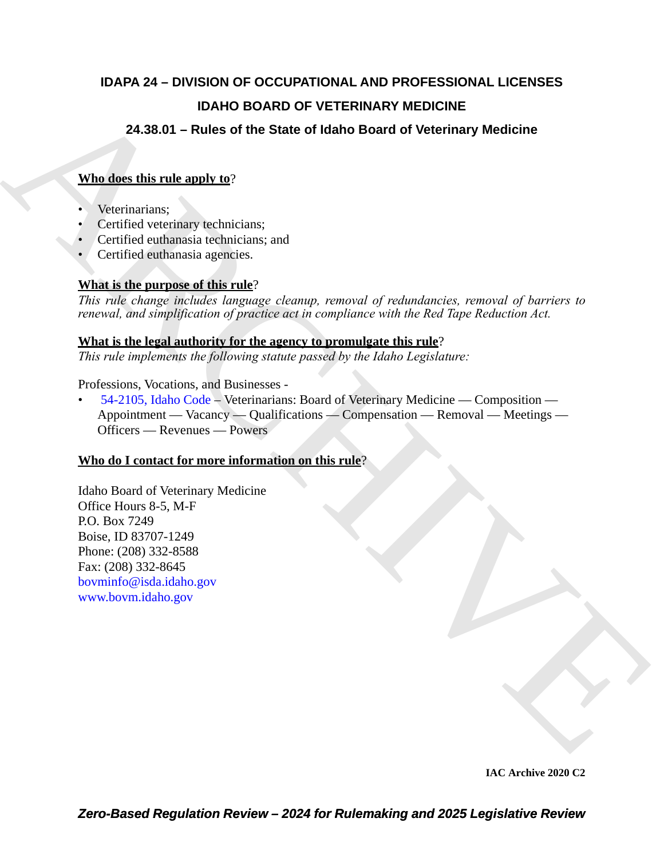## **IDAPA 24 – DIVISION OF OCCUPATIONAL AND PROFESSIONAL LICENSES IDAHO BOARD OF VETERINARY MEDICINE**

### **24.38.01 – Rules of the State of Idaho Board of Veterinary Medicine**

### **Who does this rule apply to**?

- Veterinarians;
- Certified veterinary technicians;
- Certified euthanasia technicians; and
- Certified euthanasia agencies.

### **What is the purpose of this rule**?

*This rule change includes language cleanup, removal of redundancies, removal of barriers to renewal, and simplification of practice act in compliance with the Red Tape Reduction Act.*

### **What is the legal authority for the agency to promulgate this rule**?

*This rule implements the following statute passed by the Idaho Legislature:*

### Professions, Vocations, and Businesses -

IDAHO BOARD OF VETERINARY MEDI[C](https://legislature.idaho.gov/statutesrules/idstat/Title54/T54CH21/SECT54-2105/)IN[E](http://www.bovm.idaho.gov)<br>
24.38.01 - Rules of the State of Idaho Board of Veterinary Medicine<br>
What does this reducingly that"<br>
Certified verteining rechnicians:<br>
Certified verteining rechnicians:<br>
Certified ver • 54-2105, Idaho Code – Veterinarians: Board of Veterinary Medicine — Composition — Appointment — Vacancy — Qualifications — Compensation — Removal — Meetings — Officers — Revenues — Powers

### **Who do I contact for more information on this rule**?

Idaho Board of Veterinary Medicine Office Hours 8-5, M-F P.O. Box 7249 Boise, ID 83707-1249 Phone: (208) 332-8588 Fax: (208) 332-8645 bovminfo@isda.idaho.gov www.bovm.idaho.gov

**IAC Archive 2020 C2**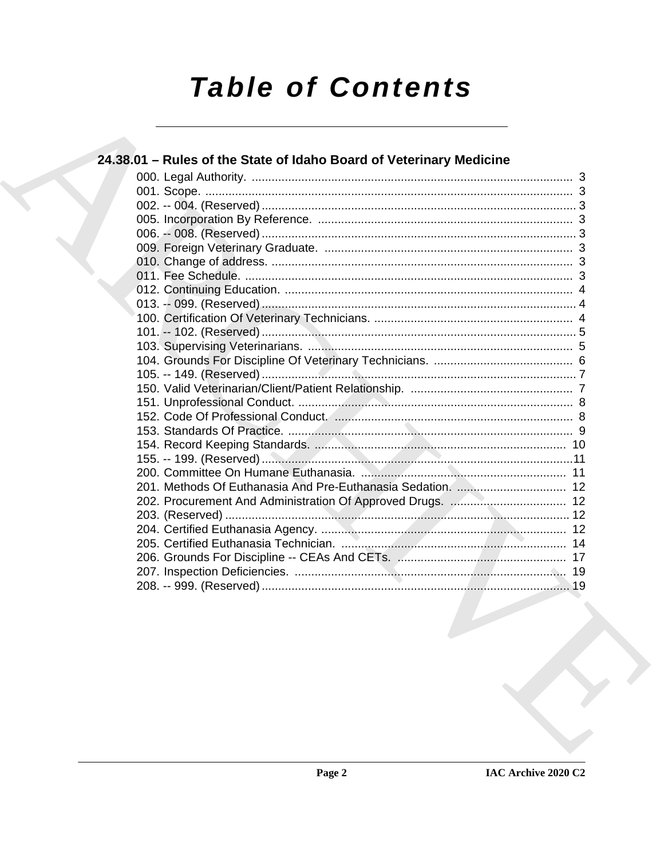# **Table of Contents**

|  | 24.38.01 – Rules of the State of Idaho Board of Veterinary Medicine |  |
|--|---------------------------------------------------------------------|--|
|  |                                                                     |  |
|  |                                                                     |  |
|  |                                                                     |  |
|  |                                                                     |  |
|  |                                                                     |  |
|  |                                                                     |  |
|  |                                                                     |  |
|  |                                                                     |  |
|  |                                                                     |  |
|  |                                                                     |  |
|  |                                                                     |  |
|  |                                                                     |  |
|  |                                                                     |  |
|  |                                                                     |  |
|  |                                                                     |  |
|  |                                                                     |  |
|  |                                                                     |  |
|  |                                                                     |  |
|  |                                                                     |  |
|  |                                                                     |  |
|  |                                                                     |  |
|  |                                                                     |  |
|  |                                                                     |  |
|  |                                                                     |  |
|  |                                                                     |  |
|  |                                                                     |  |
|  |                                                                     |  |
|  |                                                                     |  |
|  |                                                                     |  |
|  |                                                                     |  |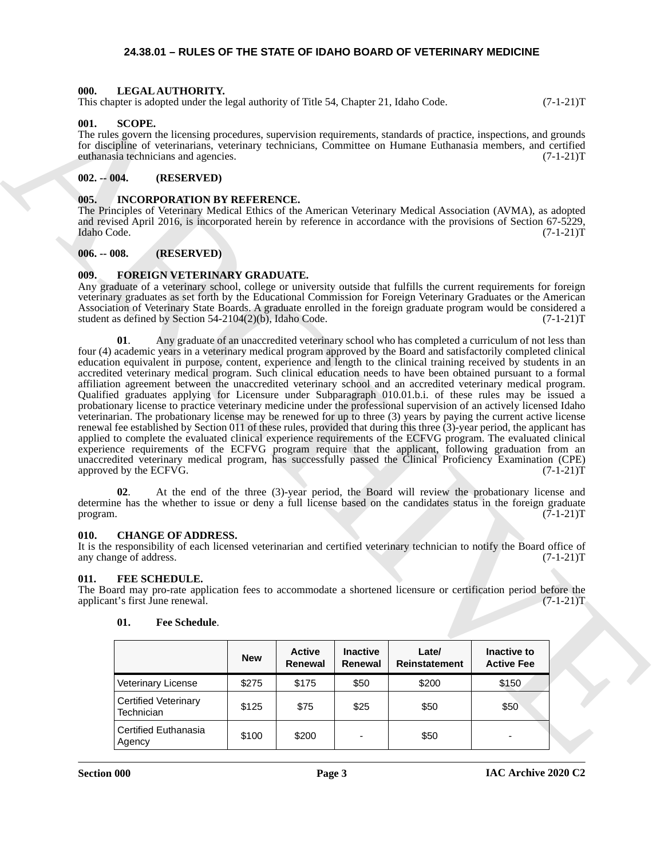### <span id="page-2-13"></span>**24.38.01 – RULES OF THE STATE OF IDAHO BOARD OF VETERINARY MEDICINE**

### <span id="page-2-1"></span><span id="page-2-0"></span>**000. LEGAL AUTHORITY.**

This chapter is adopted under the legal authority of Title 54, Chapter 21, Idaho Code.  $(7-1-21)$ T

### <span id="page-2-14"></span><span id="page-2-2"></span>**001. SCOPE.**

The rules govern the licensing procedures, supervision requirements, standards of practice, inspections, and grounds for discipline of veterinarians, veterinary technicians, Committee on Humane Euthanasia members, and certified euthanasia technicians and agencies. (7-1-21)T

### <span id="page-2-3"></span>**002. -- 004. (RESERVED)**

### <span id="page-2-12"></span><span id="page-2-4"></span>**005. INCORPORATION BY REFERENCE.**

The Principles of Veterinary Medical Ethics of the American Veterinary Medical Association (AVMA), as adopted and revised April 2016, is incorporated herein by reference in accordance with the provisions of Section 67-5229, Idaho Code. (7-1-21)T Idaho Code. (7-1-21)T

### <span id="page-2-5"></span>**006. -- 008. (RESERVED)**

### <span id="page-2-11"></span><span id="page-2-6"></span>**009. FOREIGN VETERINARY GRADUATE.**

Any graduate of a veterinary school, college or university outside that fulfills the current requirements for foreign veterinary graduates as set forth by the Educational Commission for Foreign Veterinary Graduates or the American Association of Veterinary State Boards. A graduate enrolled in the foreign graduate program would be considered a student as defined by Section 54-2104(2)(b), Idaho Code.  $(7-1-21)T$ 

This characteristic scheme that he had anticomplex so This 31, Chapter 21, Island Columb respectively. (3-1-21)<br>
Office the formula control of the state of the state scheme in the state of the state of the state of the st **01**. Any graduate of an unaccredited veterinary school who has completed a curriculum of not less than four (4) academic years in a veterinary medical program approved by the Board and satisfactorily completed clinical education equivalent in purpose, content, experience and length to the clinical training received by students in an accredited veterinary medical program. Such clinical education needs to have been obtained pursuant to a formal affiliation agreement between the unaccredited veterinary school and an accredited veterinary medical program. Qualified graduates applying for Licensure under Subparagraph 010.01.b.i. of these rules may be issued a probationary license to practice veterinary medicine under the professional supervision of an actively licensed Idaho veterinarian. The probationary license may be renewed for up to three (3) years by paying the current active license renewal fee established by Section 011 of these rules, provided that during this three (3)-year period, the applicant has applied to complete the evaluated clinical experience requirements of the ECFVG program. The evaluated clinical experience requirements of the ECFVG program require that the applicant, following graduation from an unaccredited veterinary medical program, has successfully passed the Clinical Proficiency Examination (CPE) approved by the ECFVG. (7-1-21)T

**02**. At the end of the three (3)-year period, the Board will review the probationary license and determine has the whether to issue or deny a full license based on the candidates status in the foreign graduate program.  $(7-1-21)$ T

### <span id="page-2-9"></span><span id="page-2-7"></span>**010. CHANGE OF ADDRESS.**

It is the responsibility of each licensed veterinarian and certified veterinary technician to notify the Board office of any change of address. (7-1-21)T

### <span id="page-2-10"></span><span id="page-2-8"></span>**011. FEE SCHEDULE.**

The Board may pro-rate application fees to accommodate a shortened licensure or certification period before the applicant's first June renewal. (7-1-21)T applicant's first June renewal.

|                                    | <b>New</b> | <b>Active</b><br><b>Renewal</b> | <b>Inactive</b><br>Renewal | Late/<br><b>Reinstatement</b> | Inactive to<br><b>Active Fee</b> |
|------------------------------------|------------|---------------------------------|----------------------------|-------------------------------|----------------------------------|
| Veterinary License                 | \$275      | \$175                           | \$50                       | \$200                         | \$150                            |
| Certified Veterinary<br>Technician | \$125      | \$75                            | \$25                       | \$50                          | \$50                             |
| Certified Euthanasia<br>Agency     | \$100      | \$200                           | $\overline{\phantom{0}}$   | \$50                          | -                                |

### **01. Fee Schedule**.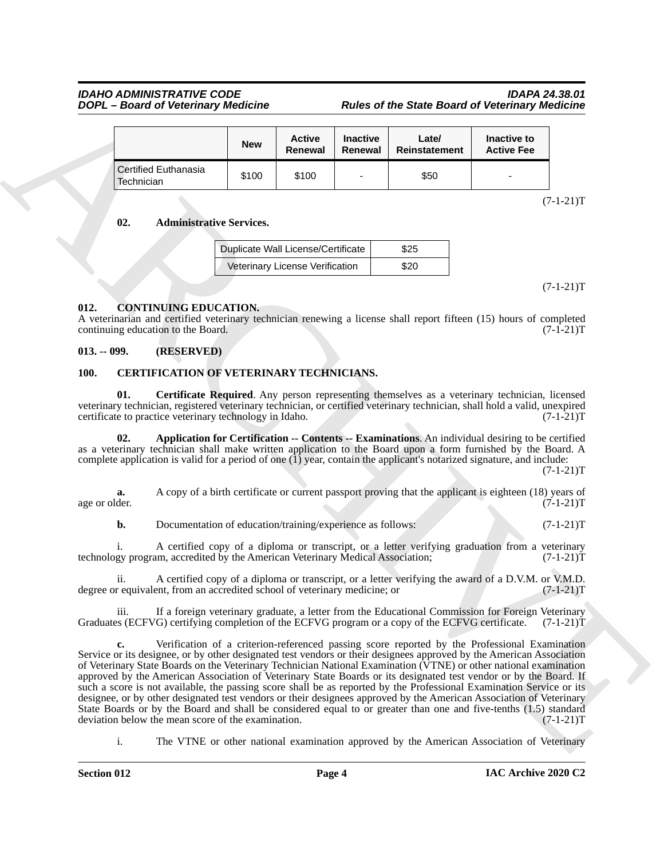### *IDAHO ADMINISTRATIVE CODE IDAPA 24.38.01 DOPL – Board of Veterinary Medicine Rules of the State Board of Veterinary Medicine*

|                                           | <b>New</b> | <b>Active</b><br>Renewal | <b>Inactive</b><br>Renewal | Late/<br>Reinstatement | Inactive to<br><b>Active Fee</b> |
|-------------------------------------------|------------|--------------------------|----------------------------|------------------------|----------------------------------|
| <b>Certified Euthanasia</b><br>Technician | \$100      | \$100                    | $\overline{\phantom{a}}$   | \$50                   | $\overline{\phantom{0}}$         |

**02. Administrative Services.**

| Duplicate Wall License/Certificate | \$25 |
|------------------------------------|------|
| Veterinary License Verification    | \$20 |

 $(7-1-21)T$ 

 $(7-1-21)T$ 

### <span id="page-3-6"></span><span id="page-3-0"></span>**012. CONTINUING EDUCATION.**

A veterinarian and certified veterinary technician renewing a license shall report fifteen (15) hours of completed continuing education to the Board.

### <span id="page-3-1"></span>**013. -- 099. (RESERVED)**

### <span id="page-3-3"></span><span id="page-3-2"></span>**100. CERTIFICATION OF VETERINARY TECHNICIANS.**

<span id="page-3-5"></span>**01. Certificate Required**. Any person representing themselves as a veterinary technician, licensed veterinary technician, registered veterinary technician, or certified veterinary technician, shall hold a valid, unexpired certificate to practice veterinary technology in Idaho. (7-1-21) certificate to practice veterinary technology in Idaho.

<span id="page-3-4"></span>**02. Application for Certification -- Contents -- Examinations**. An individual desiring to be certified as a veterinary technician shall make written application to the Board upon a form furnished by the Board. A complete application is valid for a period of one  $(1)$  year, contain the applicant's notarized signature, and include:

 $(7-1-21)T$ 

**a.** A copy of a birth certificate or current passport proving that the applicant is eighteen (18) years of der. (7-1-21) age or older. (7-1-21)T

**b.** Documentation of education/training/experience as follows:  $(7-1-21)$ T

i. A certified copy of a diploma or transcript, or a letter verifying graduation from a veterinary technology program, accredited by the American Veterinary Medical Association; (7-1-21)T

ii. A certified copy of a diploma or transcript, or a letter verifying the award of a D.V.M. or V.M.D. r equivalent, from an accredited school of veterinary medicine; or  $(7-1-21)$ T degree or equivalent, from an accredited school of veterinary medicine; or

If a foreign veterinary graduate, a letter from the Educational Commission for Foreign Veterinary Graduates (ECFVG) certifying completion of the ECFVG program or a copy of the ECFVG certificate. (7-1-21)T

**EXAMPLE CONTINUATION** (*Registering Registering Registering Registering Continued Continued Continued Continued Continued Continued Continued Continued Continued Continued Continued Continued Continued Continued Continue* **c.** Verification of a criterion-referenced passing score reported by the Professional Examination Service or its designee, or by other designated test vendors or their designees approved by the American Association of Veterinary State Boards on the Veterinary Technician National Examination (VTNE) or other national examination approved by the American Association of Veterinary State Boards or its designated test vendor or by the Board. If such a score is not available, the passing score shall be as reported by the Professional Examination Service or its designee, or by other designated test vendors or their designees approved by the American Association of Veterinary State Boards or by the Board and shall be considered equal to or greater than one and five-tenths (1.5) standard deviation below the mean score of the examination. (7-1-21)T

i. The VTNE or other national examination approved by the American Association of Veterinary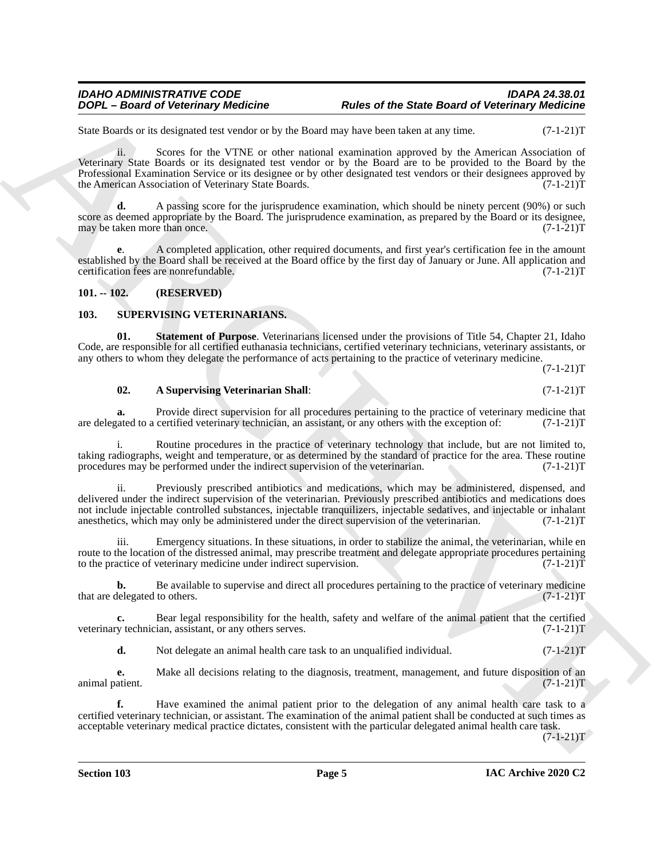## *IDAHO ADMINISTRATIVE CODE IDAPA 24.38.01*

State Boards or its designated test vendor or by the Board may have been taken at any time. (7-1-21)T

**DOPE - Beard of Veterinary Neutrine Reverse the State Beard of Veterinary Weddinics<br>
Such Beard of Veterinary Neutrine The Veterinary Reverse that a map the State Beard of Veterinary Neutrine Such that<br>
Vestima Such Bear** ii. Scores for the VTNE or other national examination approved by the American Association of Veterinary State Boards or its designated test vendor or by the Board are to be provided to the Board by the Professional Examination Service or its designee or by other designated test vendors or their designees approved by the American Association of Veterinary State Boards. (7-1-21)T

**d.** A passing score for the jurisprudence examination, which should be ninety percent (90%) or such score as deemed appropriate by the Board. The jurisprudence examination, as prepared by the Board or its designee, may be taken more than once. (7-1-21)T

**e**. A completed application, other required documents, and first year's certification fee in the amount established by the Board shall be received at the Board office by the first day of January or June. All application and certification fees are nonrefundable. (7-1-21)T

### <span id="page-4-0"></span>**101. -- 102. (RESERVED)**

### <span id="page-4-2"></span><span id="page-4-1"></span>**103. SUPERVISING VETERINARIANS.**

**01. Statement of Purpose**. Veterinarians licensed under the provisions of Title 54, Chapter 21, Idaho Code, are responsible for all certified euthanasia technicians, certified veterinary technicians, veterinary assistants, or any others to whom they delegate the performance of acts pertaining to the practice of veterinary medicine.

 $(7-1-21)T$ 

### <span id="page-4-4"></span><span id="page-4-3"></span>**02. A Supervising Veterinarian Shall**: (7-1-21)T

**a.** Provide direct supervision for all procedures pertaining to the practice of veterinary medicine that rated to a certified veterinary technician, an assistant, or any others with the exception of:  $(7-1-21)$ T are delegated to a certified veterinary technician, an assistant, or any others with the exception of:

Routine procedures in the practice of veterinary technology that include, but are not limited to, taking radiographs, weight and temperature, or as determined by the standard of practice for the area. These routine procedures may be performed under the indirect supervision of the veterinarian. (7-1-21)T

ii. Previously prescribed antibiotics and medications, which may be administered, dispensed, and delivered under the indirect supervision of the veterinarian. Previously prescribed antibiotics and medications does not include injectable controlled substances, injectable tranquilizers, injectable sedatives, and injectable or inhalant anesthetics, which may only be administered under the direct supervision of the veterinarian. (7-1-21)T

Emergency situations. In these situations, in order to stabilize the animal, the veterinarian, while en route to the location of the distressed animal, may prescribe treatment and delegate appropriate procedures pertaining<br>to the practice of veterinary medicine under indirect supervision. (7-1-21) to the practice of veterinary medicine under indirect supervision.

**b.** Be available to supervise and direct all procedures pertaining to the practice of veterinary medicine delegated to others. (7-1-21) that are delegated to others.

**c.** Bear legal responsibility for the health, safety and welfare of the animal patient that the certified y technician, assistant, or any others serves.  $(7-1-21)$ veterinary technician, assistant, or any others serves.

**d.** Not delegate an animal health care task to an unqualified individual. (7-1-21)

**e.** Make all decisions relating to the diagnosis, treatment, management, and future disposition of an animal patient. (7-1-21)T

**f.** Have examined the animal patient prior to the delegation of any animal health care task to a certified veterinary technician, or assistant. The examination of the animal patient shall be conducted at such times as acceptable veterinary medical practice dictates, consistent with the particular delegated animal health care task.

 $(7-1-21)T$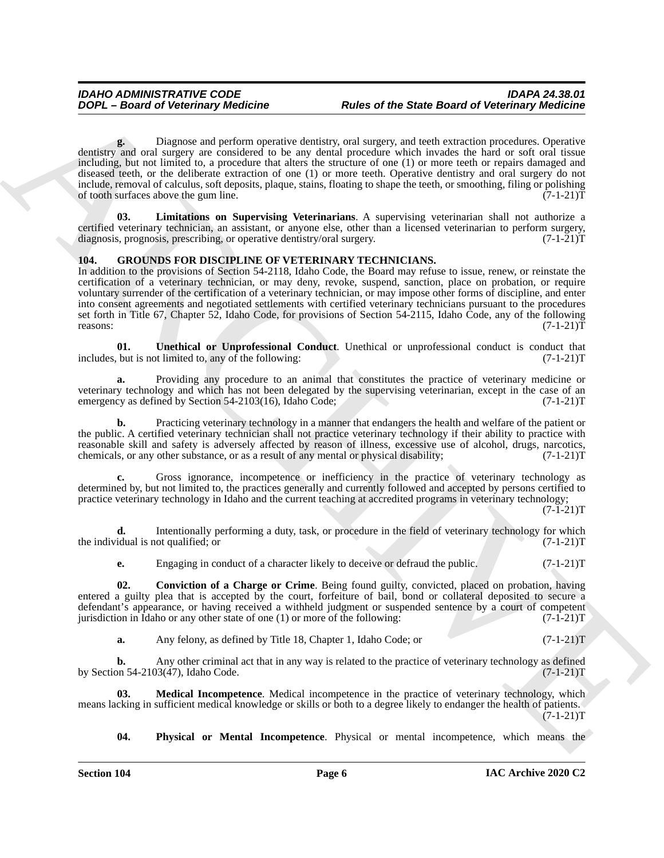**DOPE - Beard of Veterinary distribution**<br>
And is of the State Beard of Veterinary Medicine<br>
Action The Company and State Company and State Company and State Company and State Company and State Company and State Company a **g.** Diagnose and perform operative dentistry, oral surgery, and teeth extraction procedures. Operative dentistry and oral surgery are considered to be any dental procedure which invades the hard or soft oral tissue including, but not limited to, a procedure that alters the structure of one (1) or more teeth or repairs damaged and diseased teeth, or the deliberate extraction of one (1) or more teeth. Operative dentistry and oral surgery do not include, removal of calculus, soft deposits, plaque, stains, floating to shape the teeth, or smoothing, filing or polishing of tooth surfaces above the gum line.

<span id="page-5-6"></span>**03. Limitations on Supervising Veterinarians**. A supervising veterinarian shall not authorize a certified veterinary technician, an assistant, or anyone else, other than a licensed veterinarian to perform surgery, diagnosis, prognosis, prescribing, or operative dentistry/oral surgery. (7-1-21)T

### <span id="page-5-1"></span><span id="page-5-0"></span>**104. GROUNDS FOR DISCIPLINE OF VETERINARY TECHNICIANS.**

In addition to the provisions of Section 54-2118, Idaho Code, the Board may refuse to issue, renew, or reinstate the certification of a veterinary technician, or may deny, revoke, suspend, sanction, place on probation, or require voluntary surrender of the certification of a veterinary technician, or may impose other forms of discipline, and enter into consent agreements and negotiated settlements with certified veterinary technicians pursuant to the procedures set forth in Title 67, Chapter 52, Idaho Code, for provisions of Section 54-2115, Idaho Code, any of the following reasons: (7-1-21)T

<span id="page-5-5"></span>**01. Unethical or Unprofessional Conduct**. Unethical or unprofessional conduct is conduct that but is not limited to, any of the following:  $(7-1-21)$ includes, but is not limited to, any of the following:

**a.** Providing any procedure to an animal that constitutes the practice of veterinary medicine or veterinary technology and which has not been delegated by the supervising veterinarian, except in the case of an<br>emergency as defined by Section 54-2103(16). Idaho Code: (7-1-21) emergency as defined by Section  $54-2103(16)$ , Idaho Code;

**b.** Practicing veterinary technology in a manner that endangers the health and welfare of the patient or the public. A certified veterinary technician shall not practice veterinary technology if their ability to practice with reasonable skill and safety is adversely affected by reason of illness, excessive use of alcohol, drugs, narcotics, chemicals, or any other substance, or as a result of any mental or physical disability;  $(7-1-21)$ chemicals, or any other substance, or as a result of any mental or physical disability;

**c.** Gross ignorance, incompetence or inefficiency in the practice of veterinary technology as determined by, but not limited to, the practices generally and currently followed and accepted by persons certified to practice veterinary technology in Idaho and the current teaching at accredited programs in veterinary technology;

 $(7-1-21)T$ 

**d.** Intentionally performing a duty, task, or procedure in the field of veterinary technology for which the individual is not qualified; or  $(7-1-21)$ T

<span id="page-5-2"></span>**e.** Engaging in conduct of a character likely to deceive or defraud the public.  $(7-1-21)T$ 

**02. Conviction of a Charge or Crime**. Being found guilty, convicted, placed on probation, having entered a guilty plea that is accepted by the court, forfeiture of bail, bond or collateral deposited to secure a defendant's appearance, or having received a withheld judgment or suspended sentence by a court of competent jurisdiction in Idaho or any other state of one (1) or more of the following: (7-1-21) jurisdiction in Idaho or any other state of one  $(1)$  or more of the following:

<span id="page-5-3"></span>**a.** Any felony, as defined by Title 18, Chapter 1, Idaho Code; or  $(7-1-21)$ T

**b.** Any other criminal act that in any way is related to the practice of veterinary technology as defined on 54-2103(47), Idaho Code.  $(7-1-21)$ T by Section  $54-2103(47)$ , Idaho Code.

**03. Medical Incompetence**. Medical incompetence in the practice of veterinary technology, which means lacking in sufficient medical knowledge or skills or both to a degree likely to endanger the health of patients.  $(7-1-21)T$ 

<span id="page-5-4"></span>**04. Physical or Mental Incompetence**. Physical or mental incompetence, which means the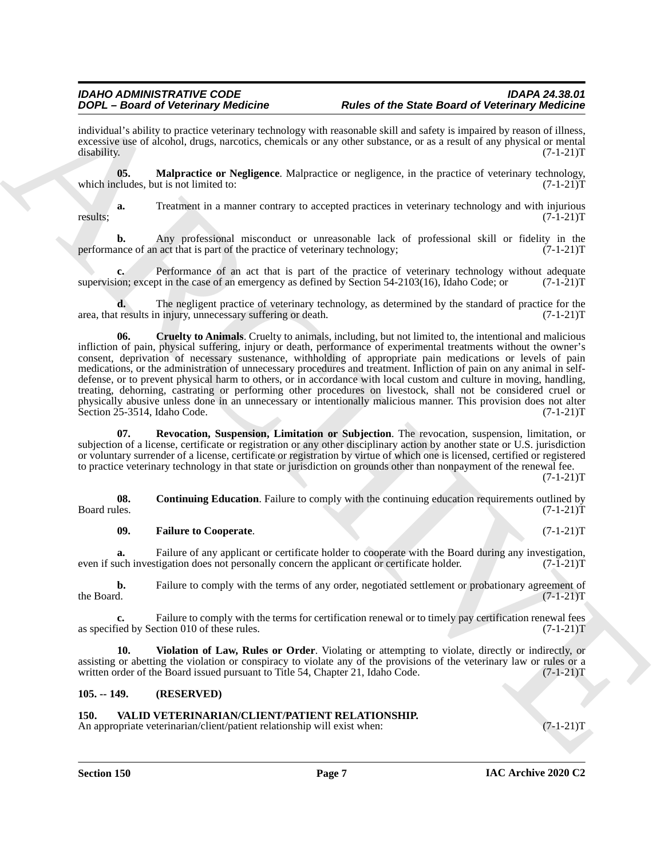individual's ability to practice veterinary technology with reasonable skill and safety is impaired by reason of illness, excessive use of alcohol, drugs, narcotics, chemicals or any other substance, or as a result of any physical or mental disability. (7-1-21)T disability. (7-1-21)T

<span id="page-6-5"></span>**05. Malpractice or Negligence**. Malpractice or negligence, in the practice of veterinary technology, cludes, but is not limited to:  $(7-1-21)T$ which includes, but is not limited to:

**a.** Treatment in a manner contrary to accepted practices in veterinary technology and with injurious (7-1-21)T results;  $(7-1-21)$ T

**b.** Any professional misconduct or unreasonable lack of professional skill or fidelity in the ance of an act that is part of the practice of veterinary technology;  $(7-1-21)$ performance of an act that is part of the practice of veterinary technology;

Performance of an act that is part of the practice of veterinary technology without adequate supervision; except in the case of an emergency as defined by Section 54-2103(16), Idaho Code; or  $(7-1-21)$ T

<span id="page-6-3"></span>**d.** The negligent practice of veterinary technology, as determined by the standard of practice for the results in injury, unnecessary suffering or death.  $(7-1-21)$ area, that results in injury, unnecessary suffering or death.

ARCHIVE **06. Cruelty to Animals**. Cruelty to animals, including, but not limited to, the intentional and malicious infliction of pain, physical suffering, injury or death, performance of experimental treatments without the owner's consent, deprivation of necessary sustenance, withholding of appropriate pain medications or levels of pain medications, or the administration of unnecessary procedures and treatment. Infliction of pain on any animal in selfdefense, or to prevent physical harm to others, or in accordance with local custom and culture in moving, handling, treating, dehorning, castrating or performing other procedures on livestock, shall not be considered cruel or physically abusive unless done in an unnecessary or intentionally malicious manner. This provision does not alter<br>Section 25-3514, Idaho Code. (7-1-21) Section 25-3514, Idaho Code.

<span id="page-6-6"></span>**07. Revocation, Suspension, Limitation or Subjection**. The revocation, suspension, limitation, or subjection of a license, certificate or registration or any other disciplinary action by another state or U.S. jurisdiction or voluntary surrender of a license, certificate or registration by virtue of which one is licensed, certified or registered to practice veterinary technology in that state or jurisdiction on grounds other than nonpayment of the renewal fee.

 $(7-1-21)T$ 

**08.** Continuing Education. Failure to comply with the continuing education requirements outlined by Board rules.  $(7-1-21)T$ Board rules. (7-1-21) T

### <span id="page-6-4"></span><span id="page-6-2"></span>**09. Failure to Cooperate**. (7-1-21)T

**a.** Failure of any applicant or certificate holder to cooperate with the Board during any investigation, uch investigation does not personally concern the applicant or certificate holder. (7-1-21) even if such investigation does not personally concern the applicant or certificate holder.

**b.** Failure to comply with the terms of any order, negotiated settlement or probationary agreement of the Board.  $(7-1-21)T$ the Board.  $(7-1-21)T$ 

**c.** Failure to comply with the terms for certification renewal or to timely pay certification renewal fees is ed by Section 010 of these rules.  $(7-1-21)$ as specified by Section 010 of these rules.

<span id="page-6-7"></span>**10. Violation of Law, Rules or Order**. Violating or attempting to violate, directly or indirectly, or assisting or abetting the violation or conspiracy to violate any of the provisions of the veterinary law or rules or a written order of the Board issued pursuant to Title 54, Chapter 21, Idaho Code. (7-1-21)T written order of the Board issued pursuant to Title 54, Chapter 21, Idaho Code.

### <span id="page-6-0"></span>**105. -- 149. (RESERVED)**

### <span id="page-6-8"></span><span id="page-6-1"></span>**150. VALID VETERINARIAN/CLIENT/PATIENT RELATIONSHIP.**

An appropriate veterinarian/client/patient relationship will exist when:  $(7-1-21)$ T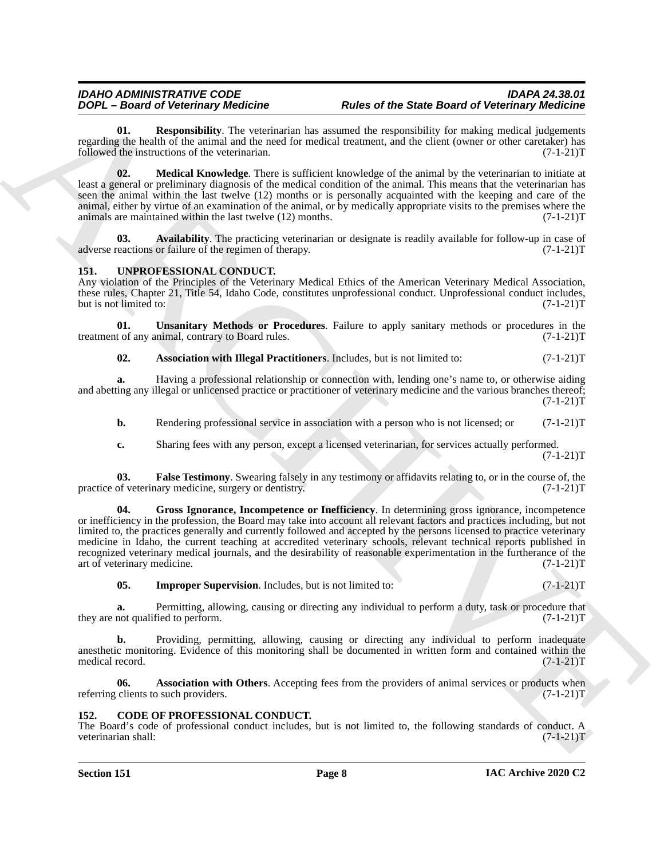<span id="page-7-12"></span>**01. Responsibility**. The veterinarian has assumed the responsibility for making medical judgements regarding the health of the animal and the need for medical treatment, and the client (owner or other caretaker) has followed the instructions of the veterinarian. (7-1-21) followed the instructions of the veterinarian.

<span id="page-7-11"></span>**02. Medical Knowledge**. There is sufficient knowledge of the animal by the veterinarian to initiate at least a general or preliminary diagnosis of the medical condition of the animal. This means that the veterinarian has seen the animal within the last twelve (12) months or is personally acquainted with the keeping and care of the animal, either by virtue of an examination of the animal, or by medically appropriate visits to the premises where the animals are maintained within the last twelve  $(12)$  months.  $(7-1-21)$ T

<span id="page-7-10"></span>**03.** Availability. The practicing veterinarian or designate is readily available for follow-up in case of eactions or failure of the regimen of therapy.  $(7-1-21)$ adverse reactions or failure of the regimen of therapy.

### <span id="page-7-3"></span><span id="page-7-0"></span>**151. UNPROFESSIONAL CONDUCT.**

Any violation of the Principles of the Veterinary Medical Ethics of the American Veterinary Medical Association, these rules, Chapter 21, Title 54, Idaho Code, constitutes unprofessional conduct. Unprofessional conduct includes, but is not limited to: (7-1-21)T but is not limited to:

**01.** Unsanitary Methods or Procedures. Failure to apply sanitary methods or procedures in the tof any animal, contrary to Board rules.  $(7-1-21)T$ treatment of any animal, contrary to Board rules.

### <span id="page-7-9"></span><span id="page-7-4"></span>**02.** Association with Illegal Practitioners. Includes, but is not limited to:  $(7-1-21)$ T

**a.** Having a professional relationship or connection with, lending one's name to, or otherwise aiding and abetting any illegal or unlicensed practice or practitioner of veterinary medicine and the various branches thereof;  $(7-1-21)T$ 

**b.** Rendering professional service in association with a person who is not licensed; or  $(7-1-21)$ T

<span id="page-7-7"></span><span id="page-7-6"></span>**c.** Sharing fees with any person, except a licensed veterinarian, for services actually performed.  $(7-1-21)T$ 

**03. False Testimony**. Swearing falsely in any testimony or affidavits relating to, or in the course of, the practice of veterinary medicine, surgery or dentistry. (7-1-21)T

**DOPI-Based of the transmit place the maximum in the same of the Same Board of the simulation in the same of the same of the same of the same of the same of the same of the same of the same of the same of the same of the 04. Gross Ignorance, Incompetence or Inefficiency**. In determining gross ignorance, incompetence or inefficiency in the profession, the Board may take into account all relevant factors and practices including, but not limited to, the practices generally and currently followed and accepted by the persons licensed to practice veterinary medicine in Idaho, the current teaching at accredited veterinary schools, relevant technical reports published in recognized veterinary medical journals, and the desirability of reasonable experimentation in the furtherance of the art of veterinary medicine. (7-1-21)T

<span id="page-7-8"></span>**05. Improper Supervision**. Includes, but is not limited to: (7-1-21)T

**a.** Permitting, allowing, causing or directing any individual to perform a duty, task or procedure that not qualified to perform.  $(7-1-21)T$ they are not qualified to perform.

**b.** Providing, permitting, allowing, causing or directing any individual to perform inadequate anesthetic monitoring. Evidence of this monitoring shall be documented in written form and contained within the medical record. (7-1-21)T medical record.

<span id="page-7-5"></span>**06.** Association with Others. Accepting fees from the providers of animal services or products when clients to such providers.  $(7-1-21)T$ referring clients to such providers.

### <span id="page-7-2"></span><span id="page-7-1"></span>**152. CODE OF PROFESSIONAL CONDUCT.**

The Board's code of professional conduct includes, but is not limited to, the following standards of conduct. A veterinarian shall: (7-1-21)T veterinarian shall: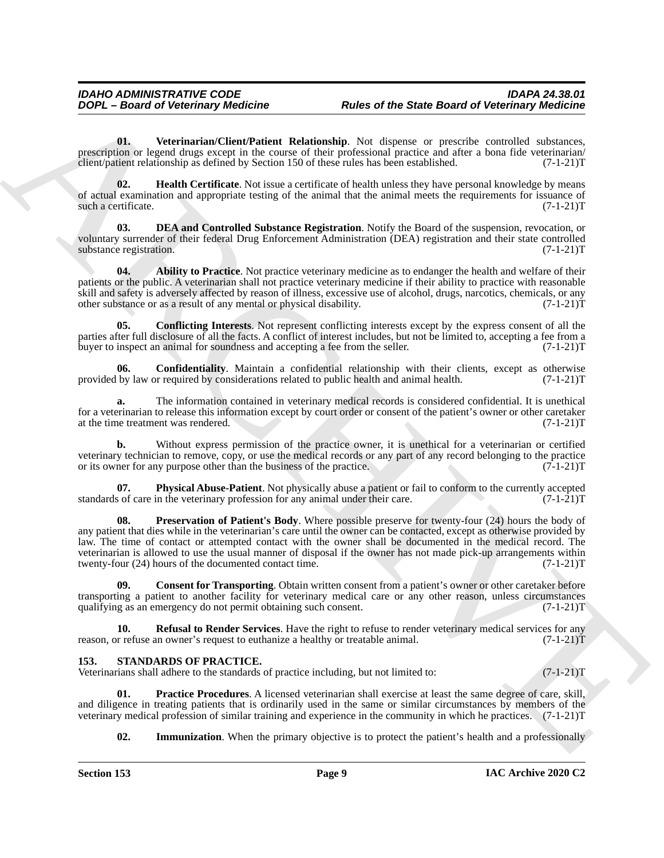<span id="page-8-10"></span>**01. Veterinarian/Client/Patient Relationship**. Not dispense or prescribe controlled substances, prescription or legend drugs except in the course of their professional practice and after a bona fide veterinarian/<br>client/patient relationship as defined by Section 150 of these rules has been established. (7-1-21) client/patient relationship as defined by Section 150 of these rules has been established.

<span id="page-8-6"></span>**02.** Health Certificate. Not issue a certificate of health unless they have personal knowledge by means of actual examination and appropriate testing of the animal that the animal meets the requirements for issuance of such a certificate.  $(7-1-21)T$ such a certificate.

<span id="page-8-5"></span>**DEA and Controlled Substance Registration.** Notify the Board of the suspension, revocation, or voluntary surrender of their federal Drug Enforcement Administration (DEA) registration and their state controlled<br>(7-1-21)T substance registration.

<span id="page-8-1"></span>**04. Ability to Practice**. Not practice veterinary medicine as to endanger the health and welfare of their patients or the public. A veterinarian shall not practice veterinary medicine if their ability to practice with reasonable skill and safety is adversely affected by reason of illness, excessive use of alcohol, drugs, narcotics, chemicals, or any other substance or as a result of any mental or physical disability. (7-1-21) other substance or as a result of any mental or physical disability.

<span id="page-8-3"></span>**05. Conflicting Interests**. Not represent conflicting interests except by the express consent of all the parties after full disclosure of all the facts. A conflict of interest includes, but not be limited to, accepting a fee from a buyer to inspect an animal for soundness and accepting a fee from the seller. (7-1-21)T buyer to inspect an animal for soundness and accepting a fee from the seller.

<span id="page-8-2"></span>**06. Confidentiality**. Maintain a confidential relationship with their clients, except as otherwise by law or required by considerations related to public health and animal health. (7-1-21) provided by law or required by considerations related to public health and animal health.

**a.** The information contained in veterinary medical records is considered confidential. It is unethical for a veterinarian to release this information except by court order or consent of the patient's owner or other caretaker at the time treatment was rendered. (7-1-21)T at the time treatment was rendered.

**b.** Without express permission of the practice owner, it is unethical for a veterinarian or certified veterinary technician to remove, copy, or use the medical records or any part of any record belonging to the practice<br>or its owner for any purpose other than the business of the practice. (7-1-21) or its owner for any purpose other than the business of the practice.

<span id="page-8-8"></span><span id="page-8-7"></span>**07. Physical Abuse-Patient**. Not physically abuse a patient or fail to conform to the currently accepted s of care in the veterinary profession for any animal under their care. (7-1-21) standards of care in the veterinary profession for any animal under their care.

**DOPI-Board of Veterinary filedinters**<br> **Bureare of the State Board of Veterinary filedintally and the state Board of Veterinary filedintal<br>
processes are considered in the state of the rest of the state of the state of t Preservation of Patient's Body**. Where possible preserve for twenty-four (24) hours the body of any patient that dies while in the veterinarian's care until the owner can be contacted, except as otherwise provided by law. The time of contact or attempted contact with the owner shall be documented in the medical record. The veterinarian is allowed to use the usual manner of disposal if the owner has not made pick-up arrangements within twenty-four (24) hours of the documented contact time. (7-1-21)T

<span id="page-8-4"></span>**09. Consent for Transporting**. Obtain written consent from a patient's owner or other caretaker before transporting a patient to another facility for veterinary medical care or any other reason, unless circumstances qualifying as an emergency do not permit obtaining such consent. (7-1-21) qualifying as an emergency do not permit obtaining such consent.

<span id="page-8-9"></span>**10. Refusal to Render Services**. Have the right to refuse to render veterinary medical services for any reason, or refuse an owner's request to euthanize a healthy or treatable animal. (7-1-21)T

### <span id="page-8-11"></span><span id="page-8-0"></span>**153. STANDARDS OF PRACTICE.**

Veterinarians shall adhere to the standards of practice including, but not limited to: (7-1-21)T

**01. Practice Procedures**. A licensed veterinarian shall exercise at least the same degree of care, skill, and diligence in treating patients that is ordinarily used in the same or similar circumstances by members of the veterinary medical profession of similar training and experience in the community in which he practices. (7-1-21)T

<span id="page-8-13"></span><span id="page-8-12"></span>**02. Immunization**. When the primary objective is to protect the patient's health and a professionally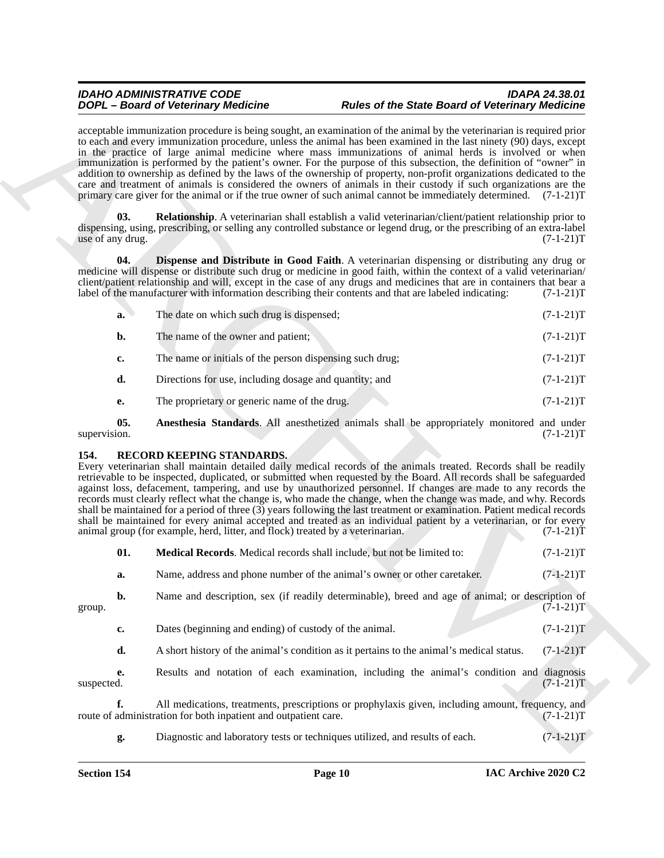### *IDAHO ADMINISTRATIVE CODE IDAPA 24.38.01 DOPL – Board of Veterinary Medicine Rules of the State Board of Veterinary Medicine*

<span id="page-9-5"></span><span id="page-9-4"></span>

| a. | The date on which such drug is dispensed;                | $(7-1-21)T$ |
|----|----------------------------------------------------------|-------------|
| b. | The name of the owner and patient;                       | $(7-1-21)T$ |
| c. | The name or initials of the person dispensing such drug; | $(7-1-21)T$ |
| d. | Directions for use, including dosage and quantity; and   | $(7-1-21)T$ |
| e. | The proprietary or generic name of the drug.             | $(7-1-21)T$ |

### <span id="page-9-3"></span><span id="page-9-2"></span><span id="page-9-1"></span><span id="page-9-0"></span>**154. RECORD KEEPING STANDARDS.**

|                         | <b>DOPL</b> - Board of Veterinary Medicine                                                                  | <b>Rules of the State Board of Veterinary Medicine</b>                                                                                                                                                                                                                                                                                                                                                                                                                                                                                                                                                                                                                                                                                                                                                                                      |             |
|-------------------------|-------------------------------------------------------------------------------------------------------------|---------------------------------------------------------------------------------------------------------------------------------------------------------------------------------------------------------------------------------------------------------------------------------------------------------------------------------------------------------------------------------------------------------------------------------------------------------------------------------------------------------------------------------------------------------------------------------------------------------------------------------------------------------------------------------------------------------------------------------------------------------------------------------------------------------------------------------------------|-------------|
|                         |                                                                                                             | acceptable immunization procedure is being sought, an examination of the animal by the veterinarian is required prior<br>to each and every immunization procedure, unless the animal has been examined in the last ninety (90) days, except<br>in the practice of large animal medicine where mass immunizations of animal herds is involved or when<br>immunization is performed by the patient's owner. For the purpose of this subsection, the definition of "owner" in<br>addition to ownership as defined by the laws of the ownership of property, non-profit organizations dedicated to the<br>care and treatment of animals is considered the owners of animals in their custody if such organizations are the<br>primary care giver for the animal or if the true owner of such animal cannot be immediately determined. (7-1-21)T |             |
| 03.<br>use of any drug. |                                                                                                             | <b>Relationship.</b> A veterinarian shall establish a valid veterinarian/client/patient relationship prior to<br>dispensing, using, prescribing, or selling any controlled substance or legend drug, or the prescribing of an extra-label                                                                                                                                                                                                                                                                                                                                                                                                                                                                                                                                                                                                   | $(7-1-21)T$ |
| 04.                     |                                                                                                             | <b>Dispense and Distribute in Good Faith.</b> A veterinarian dispensing or distributing any drug or<br>medicine will dispense or distribute such drug or medicine in good faith, within the context of a valid veterinarian/<br>client/patient relationship and will, except in the case of any drugs and medicines that are in containers that bear a<br>label of the manufacturer with information describing their contents and that are labeled indicating:                                                                                                                                                                                                                                                                                                                                                                             | $(7-1-21)T$ |
| a.                      | The date on which such drug is dispensed;                                                                   |                                                                                                                                                                                                                                                                                                                                                                                                                                                                                                                                                                                                                                                                                                                                                                                                                                             | $(7-1-21)T$ |
| b.                      | The name of the owner and patient;                                                                          |                                                                                                                                                                                                                                                                                                                                                                                                                                                                                                                                                                                                                                                                                                                                                                                                                                             | $(7-1-21)T$ |
| c.                      | The name or initials of the person dispensing such drug;                                                    |                                                                                                                                                                                                                                                                                                                                                                                                                                                                                                                                                                                                                                                                                                                                                                                                                                             | $(7-1-21)T$ |
| d.                      | Directions for use, including dosage and quantity; and                                                      |                                                                                                                                                                                                                                                                                                                                                                                                                                                                                                                                                                                                                                                                                                                                                                                                                                             | $(7-1-21)T$ |
| <b>e.</b>               | The proprietary or generic name of the drug.                                                                |                                                                                                                                                                                                                                                                                                                                                                                                                                                                                                                                                                                                                                                                                                                                                                                                                                             | $(7-1-21)T$ |
| 05.<br>supervision.     |                                                                                                             | Anesthesia Standards. All anesthetized animals shall be appropriately monitored and under                                                                                                                                                                                                                                                                                                                                                                                                                                                                                                                                                                                                                                                                                                                                                   | $(7-1-21)T$ |
| 154.                    | RECORD KEEPING STANDARDS.<br>animal group (for example, herd, litter, and flock) treated by a veterinarian. | Every veterinarian shall maintain detailed daily medical records of the animals treated. Records shall be readily<br>retrievable to be inspected, duplicated, or submitted when requested by the Board. All records shall be safeguarded<br>against loss, defacement, tampering, and use by unauthorized personnel. If changes are made to any records the<br>records must clearly reflect what the change is, who made the change, when the change was made, and why. Records<br>shall be maintained for a period of three (3) years following the last treatment or examination. Patient medical records<br>shall be maintained for every animal accepted and treated as an individual patient by a veterinarian, or for every                                                                                                            | $(7-1-21)T$ |
| 01.                     |                                                                                                             | Medical Records. Medical records shall include, but not be limited to:                                                                                                                                                                                                                                                                                                                                                                                                                                                                                                                                                                                                                                                                                                                                                                      | $(7-1-21)T$ |
| a.                      |                                                                                                             | Name, address and phone number of the animal's owner or other caretaker.                                                                                                                                                                                                                                                                                                                                                                                                                                                                                                                                                                                                                                                                                                                                                                    | $(7-1-21)T$ |
| b.<br>group.            |                                                                                                             | Name and description, sex (if readily determinable), breed and age of animal; or description of                                                                                                                                                                                                                                                                                                                                                                                                                                                                                                                                                                                                                                                                                                                                             | $(7-1-21)T$ |
| c.                      | Dates (beginning and ending) of custody of the animal.                                                      |                                                                                                                                                                                                                                                                                                                                                                                                                                                                                                                                                                                                                                                                                                                                                                                                                                             | $(7-1-21)T$ |
| d.                      |                                                                                                             | A short history of the animal's condition as it pertains to the animal's medical status.                                                                                                                                                                                                                                                                                                                                                                                                                                                                                                                                                                                                                                                                                                                                                    | $(7-1-21)T$ |
| e.<br>suspected.        |                                                                                                             | Results and notation of each examination, including the animal's condition and diagnosis                                                                                                                                                                                                                                                                                                                                                                                                                                                                                                                                                                                                                                                                                                                                                    | $(7-1-21)T$ |
| f.                      | route of administration for both inpatient and outpatient care.                                             | All medications, treatments, prescriptions or prophylaxis given, including amount, frequency, and                                                                                                                                                                                                                                                                                                                                                                                                                                                                                                                                                                                                                                                                                                                                           | $(7-1-21)T$ |
|                         |                                                                                                             |                                                                                                                                                                                                                                                                                                                                                                                                                                                                                                                                                                                                                                                                                                                                                                                                                                             |             |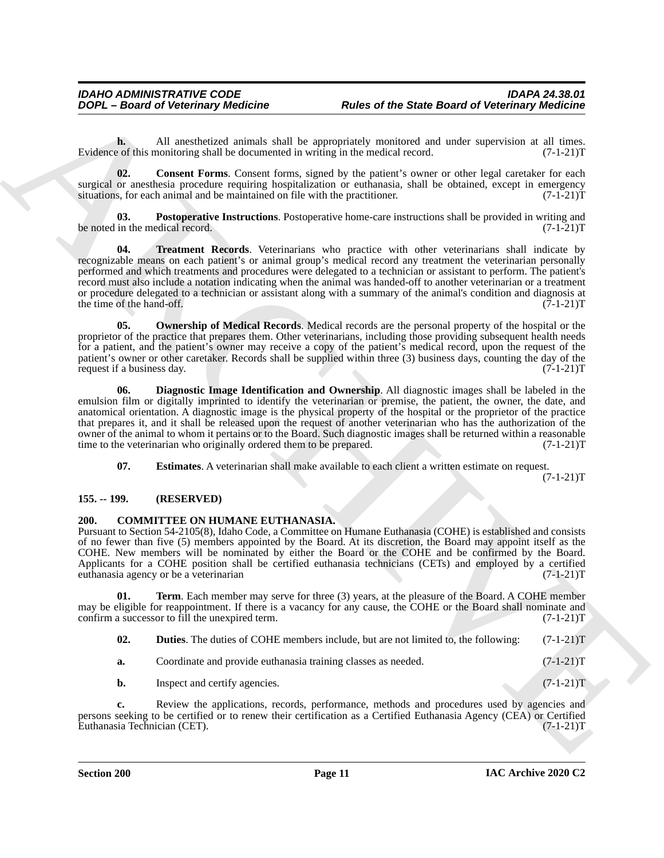**h.** All anesthetized animals shall be appropriately monitored and under supervision at all times.<br>
a of this monitoring shall be documented in writing in the medical record. (7-1-21) Evidence of this monitoring shall be documented in writing in the medical record.

<span id="page-10-5"></span>**02. Consent Forms**. Consent forms, signed by the patient's owner or other legal caretaker for each surgical or anesthesia procedure requiring hospitalization or euthanasia, shall be obtained, except in emergency<br>situations, for each animal and be maintained on file with the practitioner. (7-1-21) situations, for each animal and be maintained on file with the practitioner.

<span id="page-10-10"></span><span id="page-10-9"></span>**03. Postoperative Instructions**. Postoperative home-care instructions shall be provided in writing and be noted in the medical record. (7-1-21)T

**DOPE - Beard of Veterinary fielding in a summarized phe Same Beard of Veterinary fielding<br>
Notes of the analytical state symptomic state of the symptomic and distribution and distribution and distribution and distributio** Treatment Records. Veterinarians who practice with other veterinarians shall indicate by recognizable means on each patient's or animal group's medical record any treatment the veterinarian personally performed and which treatments and procedures were delegated to a technician or assistant to perform. The patient's record must also include a notation indicating when the animal was handed-off to another veterinarian or a treatment or procedure delegated to a technician or assistant along with a summary of the animal's condition and diagnosis at the time of the hand-off.  $(7-1-21)T$ the time of the hand-off.

<span id="page-10-8"></span>**05. Ownership of Medical Records**. Medical records are the personal property of the hospital or the proprietor of the practice that prepares them. Other veterinarians, including those providing subsequent health needs for a patient, and the patient's owner may receive a copy of the patient's medical record, upon the request of the patient's owner or other caretaker. Records shall be supplied within three (3) business days, counting the day of the request if a business day. (7-1-21)T request if a business day.

<span id="page-10-6"></span>**06. Diagnostic Image Identification and Ownership**. All diagnostic images shall be labeled in the emulsion film or digitally imprinted to identify the veterinarian or premise, the patient, the owner, the date, and anatomical orientation. A diagnostic image is the physical property of the hospital or the proprietor of the practice that prepares it, and it shall be released upon the request of another veterinarian who has the authorization of the owner of the animal to whom it pertains or to the Board. Such diagnostic images shall be returned within a reasonable time to the veterinarian who originally ordered them to be prepared.  $(7-1-21)$ T time to the veterinarian who originally ordered them to be prepared.

<span id="page-10-7"></span>**07. Estimates**. A veterinarian shall make available to each client a written estimate on request.

 $(7-1-21)T$ 

### <span id="page-10-0"></span>**155. -- 199. (RESERVED)**

### <span id="page-10-2"></span><span id="page-10-1"></span>**200. COMMITTEE ON HUMANE EUTHANASIA.**

Pursuant to Section 54-2105(8), Idaho Code, a Committee on Humane Euthanasia (COHE) is established and consists of no fewer than five (5) members appointed by the Board. At its discretion, the Board may appoint itself as the COHE. New members will be nominated by either the Board or the COHE and be confirmed by the Board. Applicants for a COHE position shall be certified euthanasia technicians (CETs) and employed by a certified euthanasia agency or be a veterinarian (7-1-21)T

**01.** Term. Each member may serve for three (3) years, at the pleasure of the Board. A COHE member may be eligible for reappointment. If there is a vacancy for any cause, the COHE or the Board shall nominate and confirm a successor to fill the unexpired term. (7-1-21) confirm a successor to fill the unexpired term.

<span id="page-10-4"></span><span id="page-10-3"></span>**02. Duties**. The duties of COHE members include, but are not limited to, the following: (7-1-21)T

**a.** Coordinate and provide euthanasia training classes as needed.  $(7-1-21)$ T

**b.** Inspect and certify agencies. (7-1-21)T

**c.** Review the applications, records, performance, methods and procedures used by agencies and persons seeking to be certified or to renew their certification as a Certified Euthanasia Agency (CEA) or Certified Euthanasia Technician (CET). (7-1-21)T Euthanasia Technician (CET).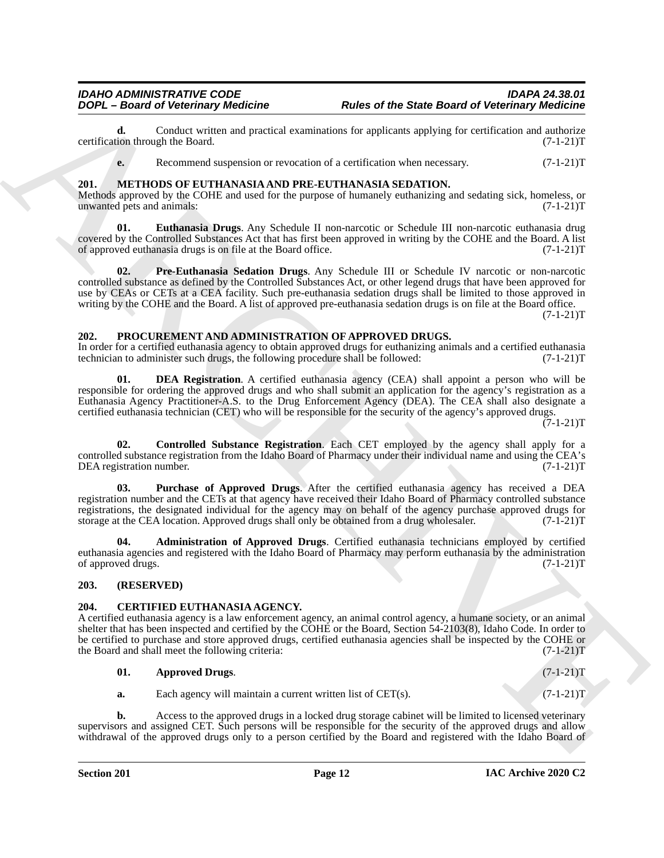**d.** Conduct written and practical examinations for applicants applying for certification and authorize ion through the Board. (7-1-21) certification through the Board.

<span id="page-11-7"></span><span id="page-11-6"></span>**e.** Recommend suspension or revocation of a certification when necessary.  $(7-1-21)$ T

### <span id="page-11-0"></span>**201. METHODS OF EUTHANASIA AND PRE-EUTHANASIA SEDATION.**

Methods approved by the COHE and used for the purpose of humanely euthanizing and sedating sick, homeless, or<br>(7-1-21)T unwanted pets and animals:

<span id="page-11-8"></span>**01. Euthanasia Drugs**. Any Schedule II non-narcotic or Schedule III non-narcotic euthanasia drug covered by the Controlled Substances Act that has first been approved in writing by the COHE and the Board. A list of approved euthanasia drugs is on file at the Board office. (7-1-21) of approved euthanasia drugs is on file at the Board office.

**EXAMPLE The Contentration Schedule The State Beatt diet Schedule Contentration of the State Beatt diet Schedule Contentration of the State Beatt distribute the state of the State Beatt of the State Contentration of the S 02. Pre-Euthanasia Sedation Drugs**. Any Schedule III or Schedule IV narcotic or non-narcotic controlled substance as defined by the Controlled Substances Act, or other legend drugs that have been approved for use by CEAs or CETs at a CEA facility. Such pre-euthanasia sedation drugs shall be limited to those approved in writing by the COHE and the Board. A list of approved pre-euthanasia sedation drugs is on file at the Board office.  $(7-1-21)T$ 

### <span id="page-11-9"></span><span id="page-11-1"></span>**202. PROCUREMENT AND ADMINISTRATION OF APPROVED DRUGS.**

In order for a certified euthanasia agency to obtain approved drugs for euthanizing animals and a certified euthanasia technician to administer such drugs, the following procedure shall be followed:  $(7-1-21)$ T technician to administer such drugs, the following procedure shall be followed:

<span id="page-11-12"></span>**01. DEA Registration**. A certified euthanasia agency (CEA) shall appoint a person who will be responsible for ordering the approved drugs and who shall submit an application for the agency's registration as a Euthanasia Agency Practitioner-A.S. to the Drug Enforcement Agency (DEA). The CEA shall also designate a certified euthanasia technician (CET) who will be responsible for the security of the agency's approved drugs.  $(7-1-21)T$ 

<span id="page-11-11"></span>**02. Controlled Substance Registration**. Each CET employed by the agency shall apply for a controlled substance registration from the Idaho Board of Pharmacy under their individual name and using the CEA's DEA registration number. (7-1-21)T

<span id="page-11-13"></span>**03. Purchase of Approved Drugs**. After the certified euthanasia agency has received a DEA registration number and the CETs at that agency have received their Idaho Board of Pharmacy controlled substance registrations, the designated individual for the agency may on behalf of the agency purchase approved drugs for<br>storage at the CEA location. Approved drugs shall only be obtained from a drug wholesaler. (7-1-21)T storage at the CEA location. Approved drugs shall only be obtained from a drug wholesaler.

<span id="page-11-10"></span>**04. Administration of Approved Drugs**. Certified euthanasia technicians employed by certified euthanasia agencies and registered with the Idaho Board of Pharmacy may perform euthanasia by the administration of approved drugs. (7-1-21)T

### <span id="page-11-2"></span>**203. (RESERVED)**

### <span id="page-11-4"></span><span id="page-11-3"></span>**204. CERTIFIED EUTHANASIA AGENCY.**

A certified euthanasia agency is a law enforcement agency, an animal control agency, a humane society, or an animal shelter that has been inspected and certified by the COHE or the Board, Section 54-2103(8), Idaho Code. In order to be certified to purchase and store approved drugs, certified euthanasia agencies shall be inspected by the COHE or the Board and shall meet the following criteria:  $(7-1-21)$ T the Board and shall meet the following criteria:

| $(7-1-21)T$ |
|-------------|
|             |

<span id="page-11-5"></span>**a.** Each agency will maintain a current written list of CET(s). (7-1-21)T

**b.** Access to the approved drugs in a locked drug storage cabinet will be limited to licensed veterinary supervisors and assigned CET. Such persons will be responsible for the security of the approved drugs and allow withdrawal of the approved drugs only to a person certified by the Board and registered with the Idaho Board of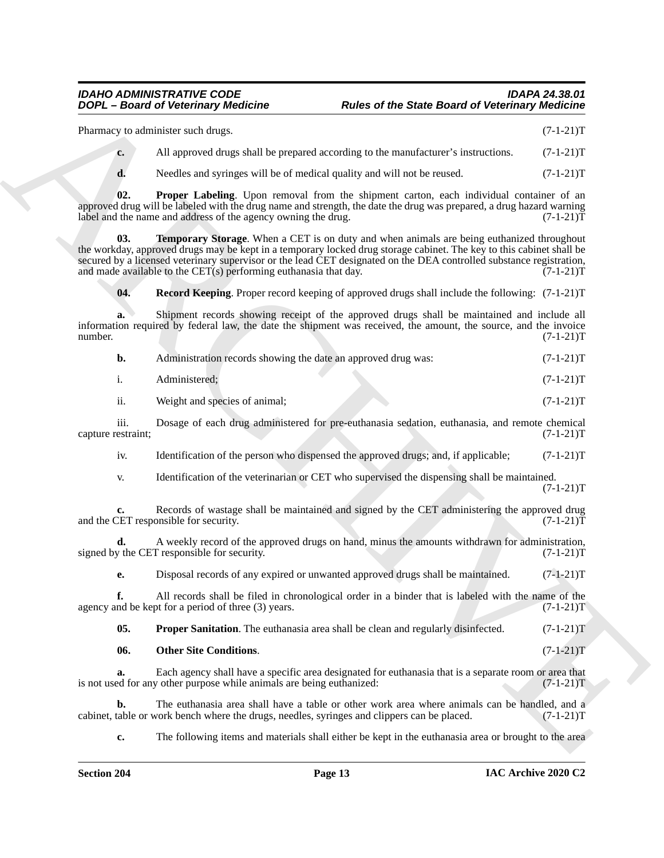<span id="page-12-4"></span><span id="page-12-3"></span><span id="page-12-2"></span><span id="page-12-1"></span><span id="page-12-0"></span>

|                            | <b>DOPL</b> - Board of Veterinary Medicine                                                                                                                                                                                                                                                                                                                                                                           | <b>Rules of the State Board of Veterinary Medicine</b> |             |
|----------------------------|----------------------------------------------------------------------------------------------------------------------------------------------------------------------------------------------------------------------------------------------------------------------------------------------------------------------------------------------------------------------------------------------------------------------|--------------------------------------------------------|-------------|
|                            | Pharmacy to administer such drugs.                                                                                                                                                                                                                                                                                                                                                                                   |                                                        | $(7-1-21)T$ |
| $c_{\bullet}$              | All approved drugs shall be prepared according to the manufacturer's instructions.                                                                                                                                                                                                                                                                                                                                   |                                                        | $(7-1-21)T$ |
| d.                         | Needles and syringes will be of medical quality and will not be reused.                                                                                                                                                                                                                                                                                                                                              |                                                        | $(7-1-21)T$ |
| 02.                        | Proper Labeling. Upon removal from the shipment carton, each individual container of an<br>approved drug will be labeled with the drug name and strength, the date the drug was prepared, a drug hazard warning<br>label and the name and address of the agency owning the drug.                                                                                                                                     |                                                        | $(7-1-21)T$ |
| 03.                        | <b>Temporary Storage.</b> When a CET is on duty and when animals are being euthanized throughout<br>the workday, approved drugs may be kept in a temporary locked drug storage cabinet. The key to this cabinet shall be<br>secured by a licensed veterinary supervisor or the lead CET designated on the DEA controlled substance registration,<br>and made available to the CET(s) performing euthanasia that day. |                                                        | $(7-1-21)T$ |
| 04.                        | <b>Record Keeping.</b> Proper record keeping of approved drugs shall include the following: (7-1-21)T                                                                                                                                                                                                                                                                                                                |                                                        |             |
| a.<br>number.              | Shipment records showing receipt of the approved drugs shall be maintained and include all<br>information required by federal law, the date the shipment was received, the amount, the source, and the invoice                                                                                                                                                                                                       |                                                        | $(7-1-21)T$ |
| b.                         | Administration records showing the date an approved drug was:                                                                                                                                                                                                                                                                                                                                                        |                                                        | $(7-1-21)T$ |
| $\mathbf{i}$ .             | Administered;                                                                                                                                                                                                                                                                                                                                                                                                        |                                                        | $(7-1-21)T$ |
| ii.                        | Weight and species of animal;                                                                                                                                                                                                                                                                                                                                                                                        |                                                        | $(7-1-21)T$ |
| iii.<br>capture restraint; | Dosage of each drug administered for pre-euthanasia sedation, euthanasia, and remote chemical                                                                                                                                                                                                                                                                                                                        |                                                        | $(7-1-21)T$ |
| iv.                        | Identification of the person who dispensed the approved drugs; and, if applicable;                                                                                                                                                                                                                                                                                                                                   |                                                        | $(7-1-21)T$ |
| V.                         | Identification of the veterinarian or CET who supervised the dispensing shall be maintained.                                                                                                                                                                                                                                                                                                                         |                                                        | $(7-1-21)T$ |
| c.                         | Records of wastage shall be maintained and signed by the CET administering the approved drug<br>and the CET responsible for security.                                                                                                                                                                                                                                                                                |                                                        | $(7-1-21)T$ |
| d.                         | A weekly record of the approved drugs on hand, minus the amounts withdrawn for administration,<br>signed by the CET responsible for security.                                                                                                                                                                                                                                                                        |                                                        | $(7-1-21)T$ |
| e.                         | Disposal records of any expired or unwanted approved drugs shall be maintained.                                                                                                                                                                                                                                                                                                                                      |                                                        | $(7-1-21)T$ |
| f.                         | All records shall be filed in chronological order in a binder that is labeled with the name of the<br>agency and be kept for a period of three (3) years.                                                                                                                                                                                                                                                            |                                                        | $(7-1-21)T$ |
| 05.                        | Proper Sanitation. The euthanasia area shall be clean and regularly disinfected.                                                                                                                                                                                                                                                                                                                                     |                                                        | $(7-1-21)T$ |
| 06.                        | <b>Other Site Conditions.</b>                                                                                                                                                                                                                                                                                                                                                                                        |                                                        | $(7-1-21)T$ |
| a.                         | Each agency shall have a specific area designated for euthanasia that is a separate room or area that<br>is not used for any other purpose while animals are being euthanized:                                                                                                                                                                                                                                       |                                                        | $(7-1-21)T$ |
| b.                         | The euthanasia area shall have a table or other work area where animals can be handled, and a<br>cabinet, table or work bench where the drugs, needles, syringes and clippers can be placed.                                                                                                                                                                                                                         |                                                        | $(7-1-21)T$ |
|                            | The following items and materials shall either be kept in the euthanasia area or brought to the area                                                                                                                                                                                                                                                                                                                 |                                                        |             |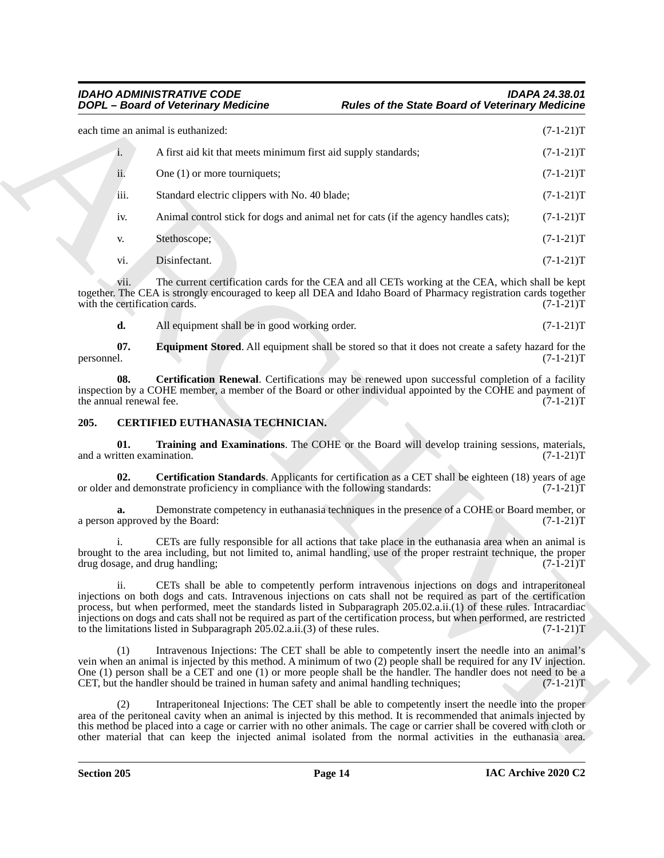**EXAMPLE The state Board of Veteriniary Residenties<br>
Scale the State Board of Veteriniary Residence<br>
Scale the state and section were an investor of the state Board of Veteriniary Residence<br>
The Chivar Scale of the State** each time an animal is euthanized: (7-1-21)T i. A first aid kit that meets minimum first aid supply standards;  $(7-1-21)T$ ii. One (1) or more tourniquets;  $(7-1-21)T$ iii. Standard electric clippers with No. 40 blade; (7-1-21)T iv. Animal control stick for dogs and animal net for cats (if the agency handles cats);  $(7-1-21)$ T v. Stethoscope; (7-1-21)T vi. Disinfectant.  $(7-1-21)T$ 

vii. The current certification cards for the CEA and all CETs working at the CEA, which shall be kept together. The CEA is strongly encouraged to keep all DEA and Idaho Board of Pharmacy registration cards together with the certification cards. (7-1-21)T with the certification cards.

<span id="page-13-2"></span><span id="page-13-1"></span>**d.** All equipment shall be in good working order. (7-1-21)T

**07.** Equipment Stored. All equipment shall be stored so that it does not create a safety hazard for the personnel.  $(7-1-21)T$ personnel. (7-1-21)T

**08.** Certification Renewal. Certifications may be renewed upon successful completion of a facility inspection by a COHE member, a member of the Board or other individual appointed by the COHE and payment of the annual renewal fee. (7-1-21) the annual renewal fee.

### <span id="page-13-3"></span><span id="page-13-0"></span>**205. CERTIFIED EUTHANASIA TECHNICIAN.**

<span id="page-13-5"></span>**01. Training and Examinations**. The COHE or the Board will develop training sessions, materials, itten examination. (7-1-21) and a written examination.

<span id="page-13-4"></span>**02. Certification Standards**. Applicants for certification as a CET shall be eighteen (18) years of age or older and demonstrate proficiency in compliance with the following standards: (7-1-21)T

**a.** Demonstrate competency in euthanasia techniques in the presence of a COHE or Board member, or approved by the Board:  $(7-1-21)T$ a person approved by the Board:

CETs are fully responsible for all actions that take place in the euthanasia area when an animal is brought to the area including, but not limited to, animal handling, use of the proper restraint technique, the proper drug dosage, and drug handling;  $(7-\hat{1}-2\hat{1})T$ 

ii. CETs shall be able to competently perform intravenous injections on dogs and intraperitoneal injections on both dogs and cats. Intravenous injections on cats shall not be required as part of the certification process, but when performed, meet the standards listed in Subparagraph 205.02.a.ii.(1) of these rules. Intracardiac injections on dogs and cats shall not be required as part of the certification process, but when performed, are restricted to the limitations listed in Subparagraph 205.02.a.ii.(3) of these rules. (7-1-21)T

(1) Intravenous Injections: The CET shall be able to competently insert the needle into an animal's vein when an animal is injected by this method. A minimum of two (2) people shall be required for any IV injection. One (1) person shall be a CET and one (1) or more people shall be the handler. The handler does not need to be a CET, but the handler should be trained in human safety and animal handling techniques; (7-1-21)T

(2) Intraperitoneal Injections: The CET shall be able to competently insert the needle into the proper area of the peritoneal cavity when an animal is injected by this method. It is recommended that animals injected by this method be placed into a cage or carrier with no other animals. The cage or carrier shall be covered with cloth or other material that can keep the injected animal isolated from the normal activities in the euthanasia area.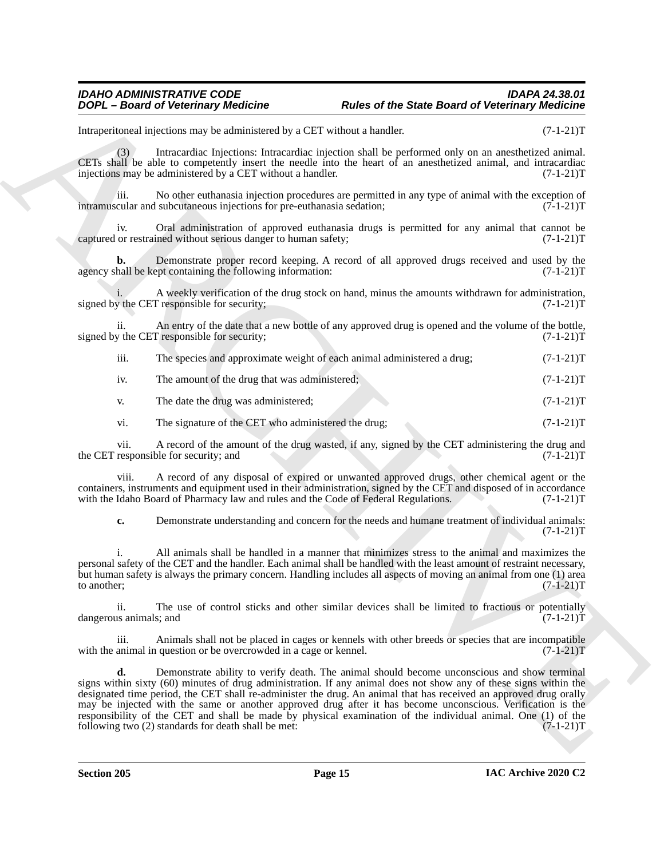### *IDAHO ADMINISTRATIVE CODE IDAPA 24.38.01 DOPL – Board of Veterinary Medicine Rules of the State Board of Veterinary Medicine*

Intraperitoneal injections may be administered by a CET without a handler. (7-1-21)T

(3) Intracardiac Injections: Intracardiac injection shall be performed only on an anesthetized animal. CETs shall be able to competently insert the needle into the heart of an anesthetized animal, and intracardiac injections may be administered by a CET without a handler. (7-1-21)T

iii. No other euthanasia injection procedures are permitted in any type of animal with the exception of cular and subcutaneous injections for pre-euthanasia sedation;  $(7-1-21)$ intramuscular and subcutaneous injections for pre-euthanasia sedation;

iv. Oral administration of approved euthanasia drugs is permitted for any animal that cannot be or restrained without serious danger to human safety;  $(7-1-21)$ captured or restrained without serious danger to human safety;

**b.** Demonstrate proper record keeping. A record of all approved drugs received and used by the hall be kept containing the following information:  $(7-1-21)$ agency shall be kept containing the following information:

A weekly verification of the drug stock on hand, minus the amounts withdrawn for administration,  $(7-1-21)T$ signed by the CET responsible for security;

ii. An entry of the date that a new bottle of any approved drug is opened and the volume of the bottle, signed by the CET responsible for security; (7-1-21)T

|  | $\cdots$<br>111. |  |  |  | The species and approximate weight of each animal administered a drug; | $(7-1-21)T$ |
|--|------------------|--|--|--|------------------------------------------------------------------------|-------------|
|--|------------------|--|--|--|------------------------------------------------------------------------|-------------|

iv. The amount of the drug that was administered;  $(7-1-21)$ T

v. The date the drug was administered; (7-1-21) T

vi. The signature of the CET who administered the drug;  $(7-1-21)$ T

vii. A record of the amount of the drug wasted, if any, signed by the CET administering the drug and responsible for security; and  $(7-1-21)$ T the CET responsible for security; and

viii. A record of any disposal of expired or unwanted approved drugs, other chemical agent or the containers, instruments and equipment used in their administration, signed by the CET and disposed of in accordance<br>with the Idaho Board of Pharmacy law and rules and the Code of Federal Regulations. (7-1-21)T with the Idaho Board of Pharmacy law and rules and the Code of Federal Regulations.

**c.** Demonstrate understanding and concern for the needs and humane treatment of individual animals:  $(7-1-21)T$ 

i. All animals shall be handled in a manner that minimizes stress to the animal and maximizes the personal safety of the CET and the handler. Each animal shall be handled with the least amount of restraint necessary, but human safety is always the primary concern. Handling includes all aspects of moving an animal from one (1) area to another;  $(7-1-21)T$ 

ii. The use of control sticks and other similar devices shall be limited to fractious or potentially us animals; and  $(7-1-21)T$ dangerous animals; and

iii. Animals shall not be placed in cages or kennels with other breeds or species that are incompatible animal in question or be overcrowded in a cage or kennel. (7-1-21) with the animal in question or be overcrowded in a cage or kennel.

**EXACT CONSULTER CONFIDENTIAL CONFIDENTIAL CONFIDENTIAL CONFIDENTIAL CONFIDENTIAL CONFIDENTIAL CONFIDENTIAL CONFIDENTIAL CONFIDENTIAL CONFIDENTIAL CONFIDENTIAL CONFIDENTIAL CONFIDENTIAL CONFIDENTIAL CONFIDENTIAL CONFIDENT d.** Demonstrate ability to verify death. The animal should become unconscious and show terminal signs within sixty (60) minutes of drug administration. If any animal does not show any of these signs within the designated time period, the CET shall re-administer the drug. An animal that has received an approved drug orally may be injected with the same or another approved drug after it has become unconscious. Verification is the responsibility of the CET and shall be made by physical examination of the individual animal. One (1) of the following two (2) standards for death shall be met:  $(7-1-21)T$ following two  $(2)$  standards for death shall be met: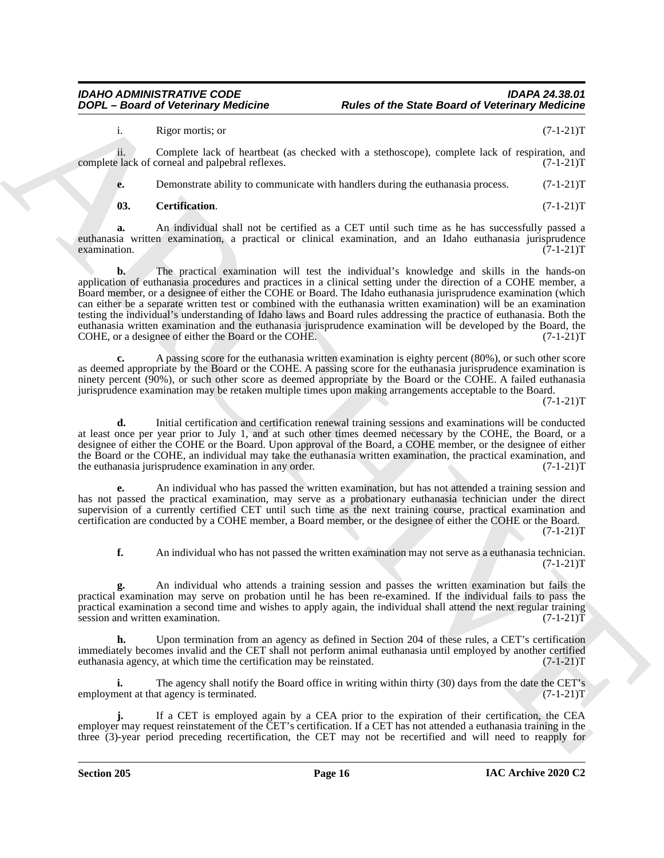i. Rigor mortis; or (7-1-21)T

ii. Complete lack of heartbeat (as checked with a stethoscope), complete lack of respiration, and  $\epsilon$  lack of corneal and palpebral reflexes. (7-1-21) complete lack of corneal and palpebral reflexes.

**e.** Demonstrate ability to communicate with handlers during the euthanasia process.  $(7-1-21)$ T

<span id="page-15-0"></span>**03. Certification**. (7-1-21)T

**a.** An individual shall not be certified as a CET until such time as he has successfully passed a euthanasia written examination, a practical or clinical examination, and an Idaho euthanasia jurisprudence examination.  $(7-1-21)T$ 

**EXAMPLE 1988** and the state that the state the state Board of Veterinary Residence<br>
A response to the state that the state of the state and the state in the state of the state of the state of the state of the state of th **b.** The practical examination will test the individual's knowledge and skills in the hands-on application of euthanasia procedures and practices in a clinical setting under the direction of a COHE member, a Board member, or a designee of either the COHE or Board. The Idaho euthanasia jurisprudence examination (which can either be a separate written test or combined with the euthanasia written examination) will be an examination testing the individual's understanding of Idaho laws and Board rules addressing the practice of euthanasia. Both the euthanasia written examination and the euthanasia jurisprudence examination will be developed by the Board, the COHE, or a designee of either the Board or the COHE.  $(7-1-21)T$ 

**c.** A passing score for the euthanasia written examination is eighty percent (80%), or such other score as deemed appropriate by the Board or the COHE. A passing score for the euthanasia jurisprudence examination is ninety percent (90%), or such other score as deemed appropriate by the Board or the COHE. A failed euthanasia jurisprudence examination may be retaken multiple times upon making arrangements acceptable to the Board.

 $(7-1-21)T$ 

**d.** Initial certification and certification renewal training sessions and examinations will be conducted at least once per year prior to July 1, and at such other times deemed necessary by the COHE, the Board, or a designee of either the COHE or the Board. Upon approval of the Board, a COHE member, or the designee of either the Board or the COHE, an individual may take the euthanasia written examination, the practical examination, and the euthanasia jurisprudence examination in any order. (7-1-21) T

**e.** An individual who has passed the written examination, but has not attended a training session and has not passed the practical examination, may serve as a probationary euthanasia technician under the direct supervision of a currently certified CET until such time as the next training course, practical examination and certification are conducted by a COHE member, a Board member, or the designee of either the COHE or the Board.  $(7-1-21)T$ 

**f.** An individual who has not passed the written examination may not serve as a euthanasia technician.  $(7-1-21)T$ 

**g.** An individual who attends a training session and passes the written examination but fails the practical examination may serve on probation until he has been re-examined. If the individual fails to pass the practical examination a second time and wishes to apply again, the individual shall attend the next regular training session and written examination.  $(7-1-21)$ T session and written examination.

Upon termination from an agency as defined in Section 204 of these rules, a CET's certification immediately becomes invalid and the CET shall not perform animal euthanasia until employed by another certified<br>euthanasia agency, at which time the certification may be reinstated. (7-1-21) euthanasia agency, at which time the certification may be reinstated.

The agency shall notify the Board office in writing within thirty (30) days from the date the CET's at agency is terminated. (7-1-21)T employment at that agency is terminated.

**j.** If a CET is employed again by a CEA prior to the expiration of their certification, the CEA employer may request reinstatement of the CET's certification. If a CET has not attended a euthanasia training in the three (3)-year period preceding recertification, the CET may not be recertified and will need to reapply for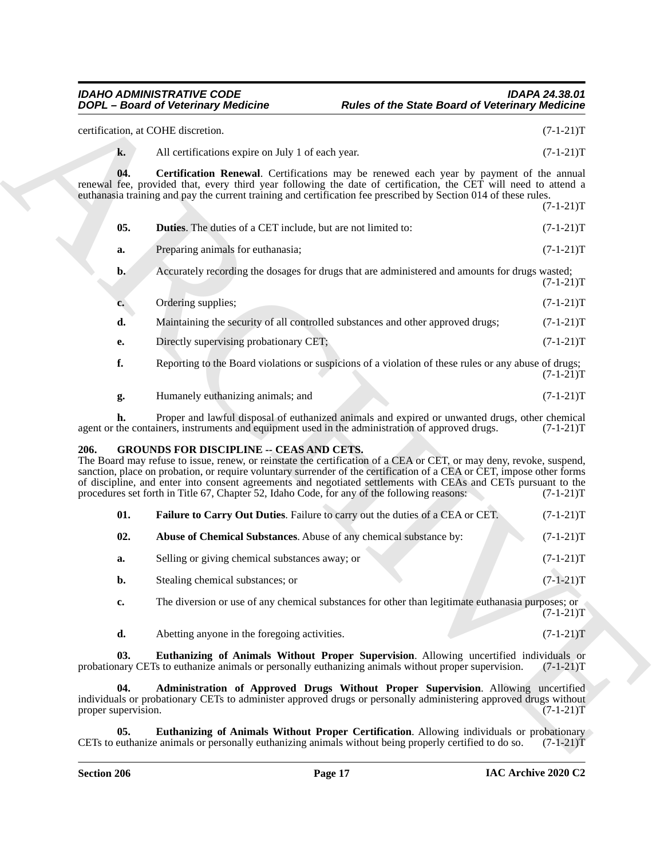## <span id="page-16-8"></span><span id="page-16-7"></span><span id="page-16-6"></span><span id="page-16-5"></span><span id="page-16-4"></span><span id="page-16-3"></span><span id="page-16-2"></span><span id="page-16-1"></span>*IDAHO ADMINISTRATIVE CODE IDAPA 24.38.01*

<span id="page-16-0"></span>

| <b>DOPL</b> - Board of Veterinary Medicine |                                                                                                                                                | <b>Rules of the State Board of Veterinary Medicine</b>                                                                                                                                                                                                                                                                                                                        |  |  |
|--------------------------------------------|------------------------------------------------------------------------------------------------------------------------------------------------|-------------------------------------------------------------------------------------------------------------------------------------------------------------------------------------------------------------------------------------------------------------------------------------------------------------------------------------------------------------------------------|--|--|
|                                            | certification, at COHE discretion.                                                                                                             | $(7-1-21)T$                                                                                                                                                                                                                                                                                                                                                                   |  |  |
| k.                                         | All certifications expire on July 1 of each year.                                                                                              | $(7-1-21)T$                                                                                                                                                                                                                                                                                                                                                                   |  |  |
| 04.                                        | euthanasia training and pay the current training and certification fee prescribed by Section 014 of these rules.                               | Certification Renewal. Certifications may be renewed each year by payment of the annual<br>renewal fee, provided that, every third year following the date of certification, the CET will need to attend a<br>$(7-1-21)T$                                                                                                                                                     |  |  |
| 05.                                        | <b>Duties.</b> The duties of a CET include, but are not limited to:                                                                            | $(7-1-21)T$                                                                                                                                                                                                                                                                                                                                                                   |  |  |
| a.                                         | Preparing animals for euthanasia;                                                                                                              | $(7-1-21)T$                                                                                                                                                                                                                                                                                                                                                                   |  |  |
| $\mathbf{b}$ .                             |                                                                                                                                                | Accurately recording the dosages for drugs that are administered and amounts for drugs wasted;<br>$(7-1-21)T$                                                                                                                                                                                                                                                                 |  |  |
| c.                                         | Ordering supplies;                                                                                                                             | $(7-1-21)T$                                                                                                                                                                                                                                                                                                                                                                   |  |  |
| d.                                         | Maintaining the security of all controlled substances and other approved drugs;                                                                | $(7-1-21)T$                                                                                                                                                                                                                                                                                                                                                                   |  |  |
| е.                                         | Directly supervising probationary CET;                                                                                                         | $(7-1-21)T$                                                                                                                                                                                                                                                                                                                                                                   |  |  |
| f.                                         |                                                                                                                                                | Reporting to the Board violations or suspicions of a violation of these rules or any abuse of drugs;<br>$(7-1-21)T$                                                                                                                                                                                                                                                           |  |  |
| g.                                         | Humanely euthanizing animals; and                                                                                                              | $(7-1-21)T$                                                                                                                                                                                                                                                                                                                                                                   |  |  |
| h.                                         | agent or the containers, instruments and equipment used in the administration of approved drugs.                                               | Proper and lawful disposal of euthanized animals and expired or unwanted drugs, other chemical<br>$(7-1-21)T$                                                                                                                                                                                                                                                                 |  |  |
| 206.                                       | <b>GROUNDS FOR DISCIPLINE -- CEAS AND CETS.</b><br>procedures set forth in Title 67, Chapter 52, Idaho Code, for any of the following reasons: | The Board may refuse to issue, renew, or reinstate the certification of a CEA or CET, or may deny, revoke, suspend,<br>sanction, place on probation, or require voluntary surrender of the certification of a CEA or CET, impose other forms<br>of discipline, and enter into consent agreements and negotiated settlements with CEAs and CETs pursuant to the<br>$(7-1-21)T$ |  |  |
| 01.                                        | Failure to Carry Out Duties. Failure to carry out the duties of a CEA or CET.                                                                  | $(7-1-21)T$                                                                                                                                                                                                                                                                                                                                                                   |  |  |
| 02.                                        | Abuse of Chemical Substances. Abuse of any chemical substance by:                                                                              | $(7-1-21)T$                                                                                                                                                                                                                                                                                                                                                                   |  |  |
| a.                                         | Selling or giving chemical substances away; or                                                                                                 | $(7-1-21)T$                                                                                                                                                                                                                                                                                                                                                                   |  |  |
| b.                                         | Stealing chemical substances; or                                                                                                               | $(7-1-21)T$                                                                                                                                                                                                                                                                                                                                                                   |  |  |
| c.                                         |                                                                                                                                                | The diversion or use of any chemical substances for other than legitimate euthanasia purposes; or<br>$(7-1-21)T$                                                                                                                                                                                                                                                              |  |  |
| d.                                         | Abetting anyone in the foregoing activities.                                                                                                   | $(7-1-21)T$                                                                                                                                                                                                                                                                                                                                                                   |  |  |
| 03.                                        | probationary CETs to euthanize animals or personally euthanizing animals without proper supervision.                                           | Euthanizing of Animals Without Proper Supervision. Allowing uncertified individuals or<br>$(7-1-21)T$                                                                                                                                                                                                                                                                         |  |  |
|                                            |                                                                                                                                                | Administration of Approved Drugs Without Proper Supervision. Allowing uncertified                                                                                                                                                                                                                                                                                             |  |  |
| 04.<br>proper supervision.                 | individuals or probationary CETs to administer approved drugs or personally administering approved drugs without                               | $(7-1-21)T$                                                                                                                                                                                                                                                                                                                                                                   |  |  |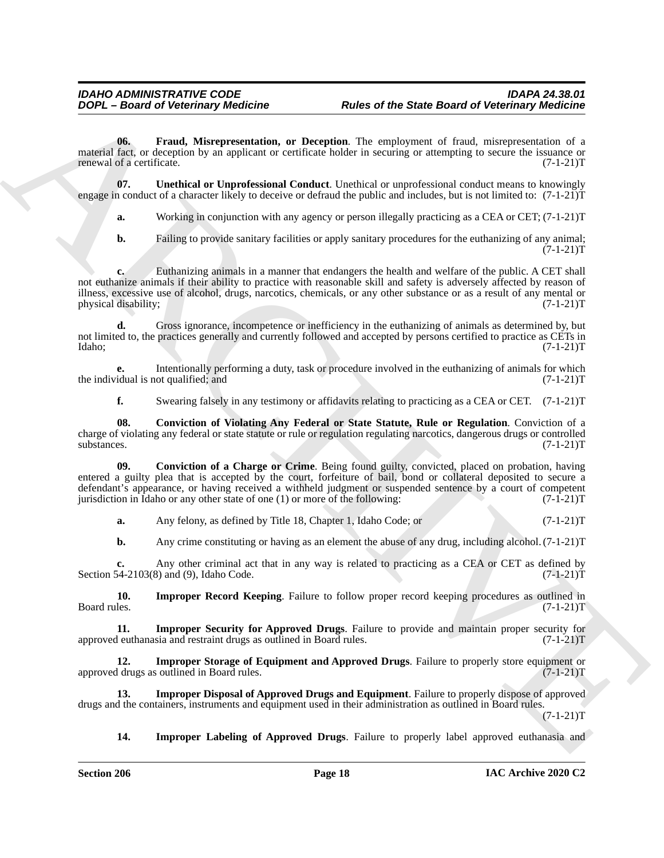<span id="page-17-2"></span>**06. Fraud, Misrepresentation, or Deception**. The employment of fraud, misrepresentation of a material fact, or deception by an applicant or certificate holder in securing or attempting to secure the issuance or renewal of a certificate. (7-1-21) renewal of a certificate.

**07. Unethical or Unprofessional Conduct**. Unethical or unprofessional conduct means to knowingly engage in conduct of a character likely to deceive or defraud the public and includes, but is not limited to:  $(7-1-21)$ T

<span id="page-17-8"></span>**a.** Working in conjunction with any agency or person illegally practicing as a CEA or CET; (7-1-21)T

**b.** Failing to provide sanitary facilities or apply sanitary procedures for the euthanizing of any animal;  $(7-1-21)T$ 

**c.** Euthanizing animals in a manner that endangers the health and welfare of the public. A CET shall not euthanize animals if their ability to practice with reasonable skill and safety is adversely affected by reason of illness, excessive use of alcohol, drugs, narcotics, chemicals, or any other substance or as a result of any mental or physical disability;  $(7-1-21)$ physical disability;

**d.** Gross ignorance, incompetence or inefficiency in the euthanizing of animals as determined by, but not limited to, the practices generally and currently followed and accepted by persons certified to practice as CETs in Idaho; (7-1-21)T Idaho; (7-1-21)T

**e.** Intentionally performing a duty, task or procedure involved in the euthanizing of animals for which idual is not qualified; and  $(7-1-21)$ T the individual is not qualified; and

<span id="page-17-1"></span><span id="page-17-0"></span>**f.** Swearing falsely in any testimony or affidavits relating to practicing as a CEA or CET.  $(7-1-21)$ T

**08. Conviction of Violating Any Federal or State Statute, Rule or Regulation**. Conviction of a charge of violating any federal or state statute or rule or regulation regulating narcotics, dangerous drugs or controlled  $\mu$ substances. (7-1-21)T

**EXAMPLE These of the State Board of Veterinary Medicine<br>
The State Board of Veterinary Medicine<br>
The Consel Medicine and the State Board of Veterinary Medicine<br>
Theorem ARCHIVE State Consel Medicine and the Consel Medici 09. Conviction of a Charge or Crime**. Being found guilty, convicted, placed on probation, having entered a guilty plea that is accepted by the court, forfeiture of bail, bond or collateral deposited to secure a defendant's appearance, or having received a withheld judgment or suspended sentence by a court of competent jurisdiction in Idaho or any other state of one (1) or more of the following:  $(7-1-21)$ jurisdiction in Idaho or any other state of one  $(1)$  or more of the following:

**a.** Any felony, as defined by Title 18, Chapter 1, Idaho Code; or  $(7-1-21)$ T

<span id="page-17-5"></span>**b.** Any crime constituting or having as an element the abuse of any drug, including alcohol.  $(7-1-21)T$ 

**c.** Any other criminal act that in any way is related to practicing as a CEA or CET as defined by 54-2103(8) and (9), Idaho Code. (7-1-21) Section  $54-2103(8)$  and  $(9)$ , Idaho Code.

**10. Improper Record Keeping**. Failure to follow proper record keeping procedures as outlined in Board rules. (7-1-21)T Board rules. (7-1-21) T

<span id="page-17-6"></span>**11. Improper Security for Approved Drugs**. Failure to provide and maintain proper security for deuthanasia and restraint drugs as outlined in Board rules. (7-1-21) approved euthanasia and restraint drugs as outlined in Board rules.

<span id="page-17-7"></span>**12. Improper Storage of Equipment and Approved Drugs**. Failure to properly store equipment or d drugs as outlined in Board rules. (7-1-21)T approved drugs as outlined in Board rules.

**13. Improper Disposal of Approved Drugs and Equipment**. Failure to properly dispose of approved drugs and the containers, instruments and equipment used in their administration as outlined in Board rules.

 $(7-1-21)T$ 

<span id="page-17-4"></span><span id="page-17-3"></span>**14. Improper Labeling of Approved Drugs**. Failure to properly label approved euthanasia and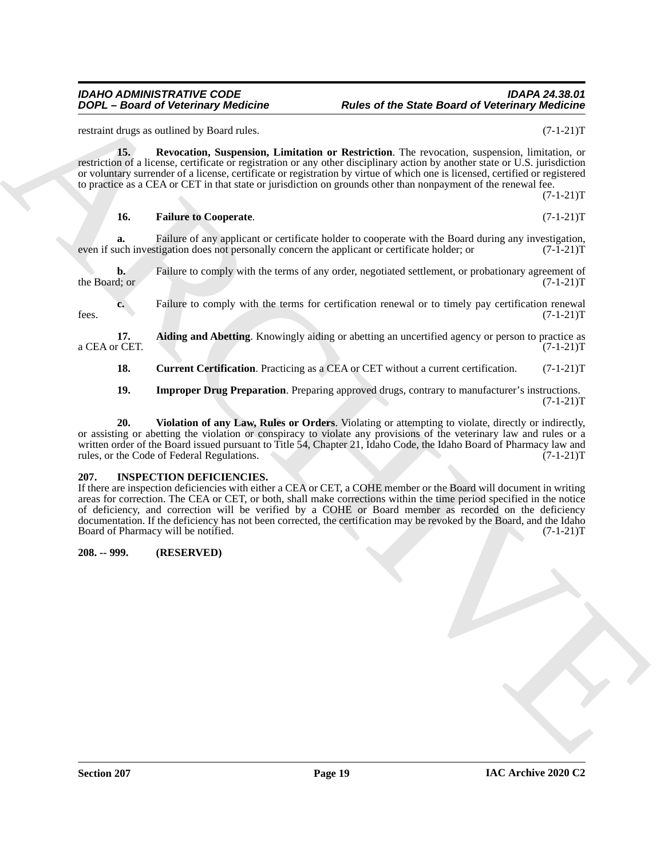# restraint drugs as outlined by Board rules. (7-1-21)T

<span id="page-18-6"></span>**15. Revocation, Suspension, Limitation or Restriction**. The revocation, suspension, limitation, or restriction of a license, certificate or registration or any other disciplinary action by another state or U.S. jurisdiction or voluntary surrender of a license, certificate or registration by virtue of which one is licensed, certified or registered to practice as a CEA or CET in that state or jurisdiction on grounds other than nonpayment of the renewal fee.  $(7-1-21)T$ 

### <span id="page-18-4"></span>**16. Failure to Cooperate**. (7-1-21)T

**a.** Failure of any applicant or certificate holder to cooperate with the Board during any investigation, uch investigation does not personally concern the applicant or certificate holder; or  $(7-1-21)$ even if such investigation does not personally concern the applicant or certificate holder; or

**b.** Failure to comply with the terms of any order, negotiated settlement, or probationary agreement of the Board; or  $(7-1-21)$ T

**c.** Failure to comply with the terms for certification renewal or to timely pay certification renewal  $(7-1-21)$ T  $f$ ees.  $(7-1-21)$ T

**17. Aiding and Abetting**. Knowingly aiding or abetting an uncertified agency or person to practice as <br>(7-1-21)T a CEA or CET.

<span id="page-18-3"></span><span id="page-18-2"></span>**18. Current Certification**. Practicing as a CEA or CET without a current certification. (7-1-21)T

<span id="page-18-7"></span><span id="page-18-5"></span>**19. Improper Drug Preparation**. Preparing approved drugs, contrary to manufacturer's instructions.  $(7-1-21)T$ 

**20. Violation of any Law, Rules or Orders**. Violating or attempting to violate, directly or indirectly, or assisting or abetting the violation or conspiracy to violate any provisions of the veterinary law and rules or a written order of the Board issued pursuant to Title 54, Chapter 21, Idaho Code, the Idaho Board of Pharmacy law and rules, or the Code of Federal Regulations. (7-1-21) rules, or the Code of Federal Regulations.

### <span id="page-18-8"></span><span id="page-18-0"></span>**207. INSPECTION DEFICIENCIES.**

**EXAMPLE 2008** and the state of the state Board of Veterinary Reddinia<br>
ARCHIVE Shows the State Board of Veterinary Reddinia<br>
ARCHIVE Shows are the state of the state of the state of the state of the state of the state of If there are inspection deficiencies with either a CEA or CET, a COHE member or the Board will document in writing areas for correction. The CEA or CET, or both, shall make corrections within the time period specified in the notice of deficiency, and correction will be verified by a COHE or Board member as recorded on the deficiency documentation. If the deficiency has not been corrected, the certification may be revoked by the Board, and the Idaho Board of Pharmacy will be notified. (7-1-21) T

### <span id="page-18-1"></span>**208. -- 999. (RESERVED)**